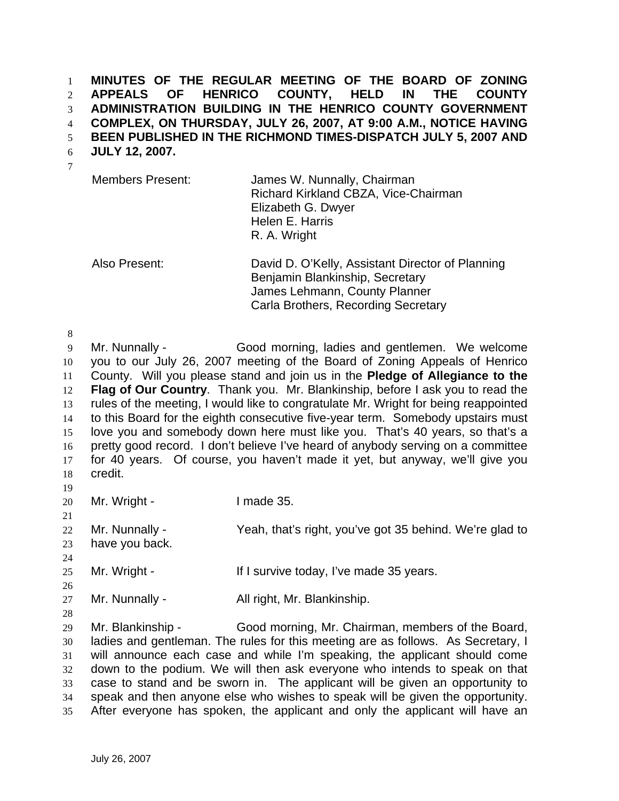**MINUTES OF THE REGULAR MEETING OF THE BOARD OF ZONING APPEALS OF HENRICO COUNTY, HELD IN THE COUNTY ADMINISTRATION BUILDING IN THE HENRICO COUNTY GOVERNMENT COMPLEX, ON THURSDAY, JULY 26, 2007, AT 9:00 A.M., NOTICE HAVING BEEN PUBLISHED IN THE RICHMOND TIMES-DISPATCH JULY 5, 2007 AND**  1 2 3 4 5

**JULY 12, 2007.**  6

| <b>Members Present:</b> | James W. Nunnally, Chairman<br>Richard Kirkland CBZA, Vice-Chairman |
|-------------------------|---------------------------------------------------------------------|
|                         |                                                                     |
|                         | Elizabeth G. Dwyer                                                  |
|                         | Helen E. Harris                                                     |
|                         | R. A. Wright                                                        |
|                         |                                                                     |

Also Present: David D. O'Kelly, Assistant Director of Planning Benjamin Blankinship, Secretary James Lehmann, County Planner Carla Brothers, Recording Secretary

8 9 10 11 12 13 14 15 16 17 18 Mr. Nunnally - Good morning, ladies and gentlemen. We welcome you to our July 26, 2007 meeting of the Board of Zoning Appeals of Henrico County. Will you please stand and join us in the **Pledge of Allegiance to the Flag of Our Country**. Thank you. Mr. Blankinship, before I ask you to read the rules of the meeting, I would like to congratulate Mr. Wright for being reappointed to this Board for the eighth consecutive five-year term. Somebody upstairs must love you and somebody down here must like you. That's 40 years, so that's a pretty good record. I don't believe I've heard of anybody serving on a committee for 40 years. Of course, you haven't made it yet, but anyway, we'll give you credit.

19

21

24

20 Mr. Wright - I made 35.

22 23 Mr. Nunnally - Yeah, that's right, you've got 35 behind. We're glad to have you back.

25 Mr. Wright - If I survive today, I've made 35 years.

26 27 Mr. Nunnally - All right, Mr. Blankinship.

28 29 30 31 32 33 34 35 Mr. Blankinship - Good morning, Mr. Chairman, members of the Board, ladies and gentleman. The rules for this meeting are as follows. As Secretary, I will announce each case and while I'm speaking, the applicant should come down to the podium. We will then ask everyone who intends to speak on that case to stand and be sworn in. The applicant will be given an opportunity to speak and then anyone else who wishes to speak will be given the opportunity. After everyone has spoken, the applicant and only the applicant will have an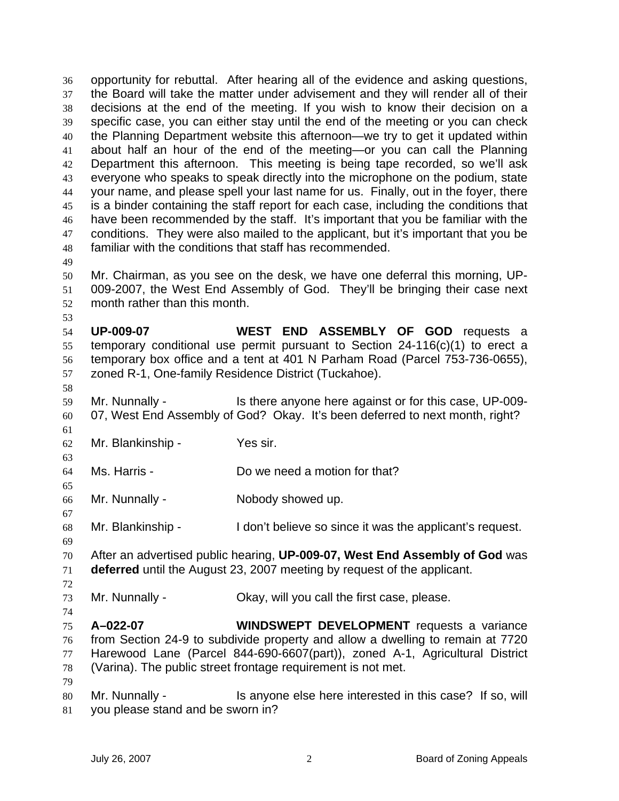opportunity for rebuttal. After hearing all of the evidence and asking questions, the Board will take the matter under advisement and they will render all of their decisions at the end of the meeting. If you wish to know their decision on a specific case, you can either stay until the end of the meeting or you can check the Planning Department website this afternoon—we try to get it updated within about half an hour of the end of the meeting—or you can call the Planning Department this afternoon. This meeting is being tape recorded, so we'll ask everyone who speaks to speak directly into the microphone on the podium, state your name, and please spell your last name for us. Finally, out in the foyer, there is a binder containing the staff report for each case, including the conditions that have been recommended by the staff. It's important that you be familiar with the conditions. They were also mailed to the applicant, but it's important that you be familiar with the conditions that staff has recommended. 36 37 38 39 40 41 42 43 44 45 46 47 48 49

- 50 51 52 Mr. Chairman, as you see on the desk, we have one deferral this morning, UP-009-2007, the West End Assembly of God. They'll be bringing their case next month rather than this month.
- 54 55 56 57 **UP-009-07 WEST END ASSEMBLY OF GOD** requests a temporary conditional use permit pursuant to Section 24-116(c)(1) to erect a temporary box office and a tent at 401 N Parham Road (Parcel 753-736-0655), zoned R-1, One-family Residence District (Tuckahoe).
- 58

61

63

65

67

69

53

59 60 Mr. Nunnally - Is there anyone here against or for this case, UP-009-07, West End Assembly of God? Okay. It's been deferred to next month, right?

- 62 Mr. Blankinship - Yes sir.
- 64 Ms. Harris - Do we need a motion for that?
- 66 Mr. Nunnally - **Nobody showed up.**
- 68 Mr. Blankinship - I don't believe so since it was the applicant's request.
- 70 71 After an advertised public hearing, **UP-009-07, West End Assembly of God** was **deferred** until the August 23, 2007 meeting by request of the applicant.
- 72

74

79

- 73 Mr. Nunnally - Ckay, will you call the first case, please.
- 75 76 77 78 **A–022-07 WINDSWEPT DEVELOPMENT** requests a variance from Section 24-9 to subdivide property and allow a dwelling to remain at 7720 Harewood Lane (Parcel 844-690-6607(part)), zoned A-1, Agricultural District (Varina). The public street frontage requirement is not met.
- 80 81 Mr. Nunnally - Is anyone else here interested in this case? If so, will you please stand and be sworn in?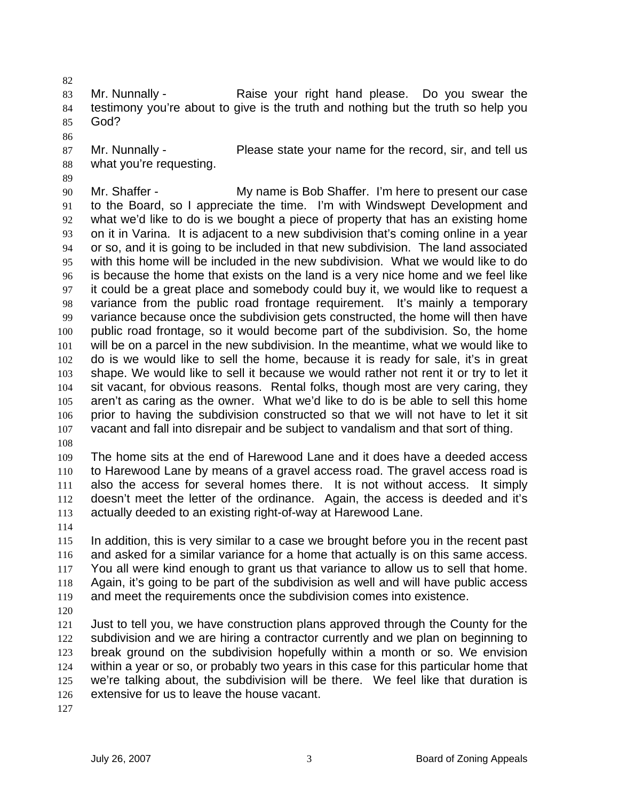82

83 84 85 Mr. Nunnally - Raise your right hand please. Do you swear the testimony you're about to give is the truth and nothing but the truth so help you God?

- 86
- 87 88 Mr. Nunnally - Please state your name for the record, sir, and tell us what you're requesting.
- 89 90 91 92 93 94 95 96 97 98 99 100 101 102 103 104 105 106 107 Mr. Shaffer - My name is Bob Shaffer. I'm here to present our case to the Board, so I appreciate the time. I'm with Windswept Development and what we'd like to do is we bought a piece of property that has an existing home on it in Varina. It is adjacent to a new subdivision that's coming online in a year or so, and it is going to be included in that new subdivision. The land associated with this home will be included in the new subdivision. What we would like to do is because the home that exists on the land is a very nice home and we feel like it could be a great place and somebody could buy it, we would like to request a variance from the public road frontage requirement. It's mainly a temporary variance because once the subdivision gets constructed, the home will then have public road frontage, so it would become part of the subdivision. So, the home will be on a parcel in the new subdivision. In the meantime, what we would like to do is we would like to sell the home, because it is ready for sale, it's in great shape. We would like to sell it because we would rather not rent it or try to let it sit vacant, for obvious reasons. Rental folks, though most are very caring, they aren't as caring as the owner. What we'd like to do is be able to sell this home prior to having the subdivision constructed so that we will not have to let it sit vacant and fall into disrepair and be subject to vandalism and that sort of thing.
- 108

109 110 111 112 113 The home sits at the end of Harewood Lane and it does have a deeded access to Harewood Lane by means of a gravel access road. The gravel access road is also the access for several homes there. It is not without access. It simply doesn't meet the letter of the ordinance. Again, the access is deeded and it's actually deeded to an existing right-of-way at Harewood Lane.

114

115 116 117 118 119 120 In addition, this is very similar to a case we brought before you in the recent past and asked for a similar variance for a home that actually is on this same access. You all were kind enough to grant us that variance to allow us to sell that home. Again, it's going to be part of the subdivision as well and will have public access and meet the requirements once the subdivision comes into existence.

121 122 123 124 125 126 Just to tell you, we have construction plans approved through the County for the subdivision and we are hiring a contractor currently and we plan on beginning to break ground on the subdivision hopefully within a month or so. We envision within a year or so, or probably two years in this case for this particular home that we're talking about, the subdivision will be there. We feel like that duration is extensive for us to leave the house vacant.

127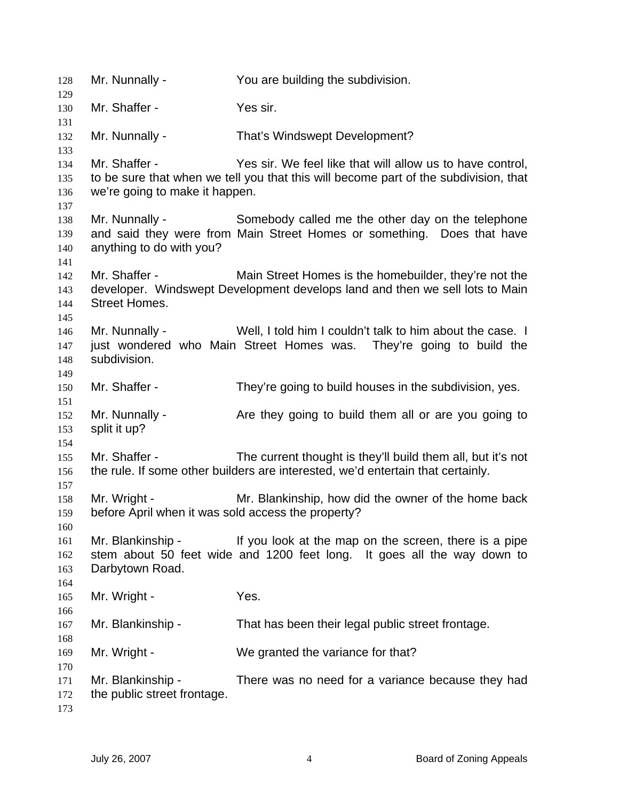Mr. Nunnally - You are building the subdivision. Mr. Shaffer - Yes sir. Mr. Nunnally - That's Windswept Development? Mr. Shaffer - Yes sir. We feel like that will allow us to have control, to be sure that when we tell you that this will become part of the subdivision, that we're going to make it happen. Mr. Nunnally - Somebody called me the other day on the telephone and said they were from Main Street Homes or something. Does that have anything to do with you? Mr. Shaffer - Main Street Homes is the homebuilder, they're not the developer. Windswept Development develops land and then we sell lots to Main Street Homes. Mr. Nunnally - Well, I told him I couldn't talk to him about the case. I just wondered who Main Street Homes was. They're going to build the subdivision. Mr. Shaffer - They're going to build houses in the subdivision, yes. Mr. Nunnally - Are they going to build them all or are you going to split it up? Mr. Shaffer - The current thought is they'll build them all, but it's not the rule. If some other builders are interested, we'd entertain that certainly. Mr. Wright - Mr. Blankinship, how did the owner of the home back before April when it was sold access the property? Mr. Blankinship - If you look at the map on the screen, there is a pipe stem about 50 feet wide and 1200 feet long. It goes all the way down to Darbytown Road. Mr. Wright - Yes. Mr. Blankinship - That has been their legal public street frontage. Mr. Wright - We granted the variance for that? Mr. Blankinship - There was no need for a variance because they had the public street frontage.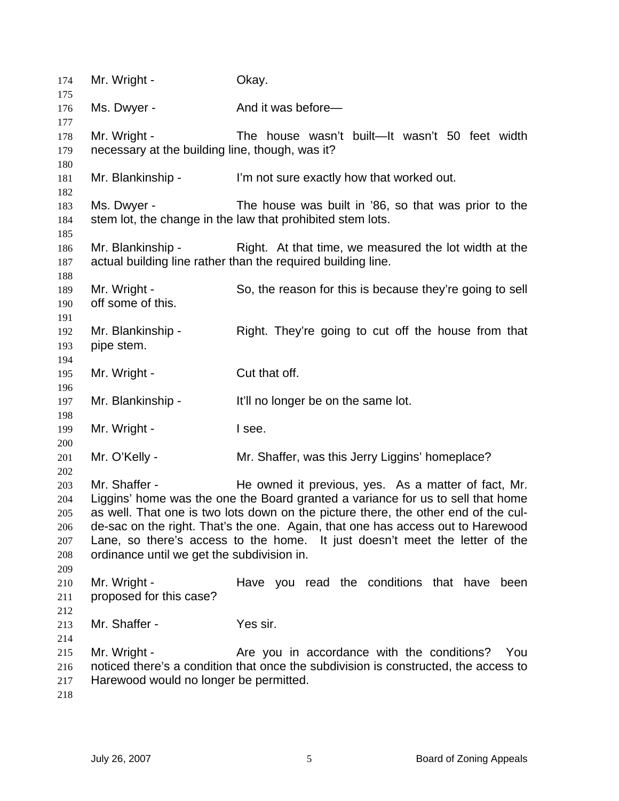| 174<br>175 | Mr. Wright -                                    | Okay.                                                                               |
|------------|-------------------------------------------------|-------------------------------------------------------------------------------------|
| 176<br>177 | Ms. Dwyer -                                     | And it was before-                                                                  |
| 178        | Mr. Wright -                                    | The house wasn't built—It wasn't 50 feet width                                      |
| 179        | necessary at the building line, though, was it? |                                                                                     |
| 180        |                                                 |                                                                                     |
| 181        | Mr. Blankinship -                               | I'm not sure exactly how that worked out.                                           |
| 182        |                                                 |                                                                                     |
| 183        | Ms. Dwyer -                                     | The house was built in '86, so that was prior to the                                |
| 184<br>185 |                                                 | stem lot, the change in the law that prohibited stem lots.                          |
| 186        | Mr. Blankinship -                               | Right. At that time, we measured the lot width at the                               |
| 187        |                                                 | actual building line rather than the required building line.                        |
| 188        |                                                 |                                                                                     |
| 189        | Mr. Wright -                                    | So, the reason for this is because they're going to sell                            |
| 190        | off some of this.                               |                                                                                     |
| 191        |                                                 |                                                                                     |
| 192        | Mr. Blankinship -                               | Right. They're going to cut off the house from that                                 |
| 193        | pipe stem.                                      |                                                                                     |
| 194        |                                                 |                                                                                     |
| 195        | Mr. Wright -                                    | Cut that off.                                                                       |
| 196<br>197 | Mr. Blankinship -                               | It'll no longer be on the same lot.                                                 |
| 198        |                                                 |                                                                                     |
| 199        | Mr. Wright -                                    | I see.                                                                              |
| 200        |                                                 |                                                                                     |
| 201        | Mr. O'Kelly -                                   | Mr. Shaffer, was this Jerry Liggins' homeplace?                                     |
| 202        |                                                 |                                                                                     |
| 203        | Mr. Shaffer -                                   | He owned it previous, yes. As a matter of fact, Mr.                                 |
| 204        |                                                 | Liggins' home was the one the Board granted a variance for us to sell that home     |
| 205        |                                                 | as well. That one is two lots down on the picture there, the other end of the cul-  |
| 206        |                                                 | de-sac on the right. That's the one. Again, that one has access out to Harewood     |
| 207        |                                                 | Lane, so there's access to the home. It just doesn't meet the letter of the         |
| 208        | ordinance until we get the subdivision in.      |                                                                                     |
| 209        |                                                 |                                                                                     |
| 210        | Mr. Wright -                                    | Have you read the conditions that have been                                         |
| 211        | proposed for this case?                         |                                                                                     |
| 212        |                                                 |                                                                                     |
| 213        | Mr. Shaffer -                                   | Yes sir.                                                                            |
| 214        |                                                 |                                                                                     |
| 215        | Mr. Wright -                                    | Are you in accordance with the conditions?<br>You                                   |
| 216        |                                                 | noticed there's a condition that once the subdivision is constructed, the access to |
| 217        | Harewood would no longer be permitted.          |                                                                                     |
| 218        |                                                 |                                                                                     |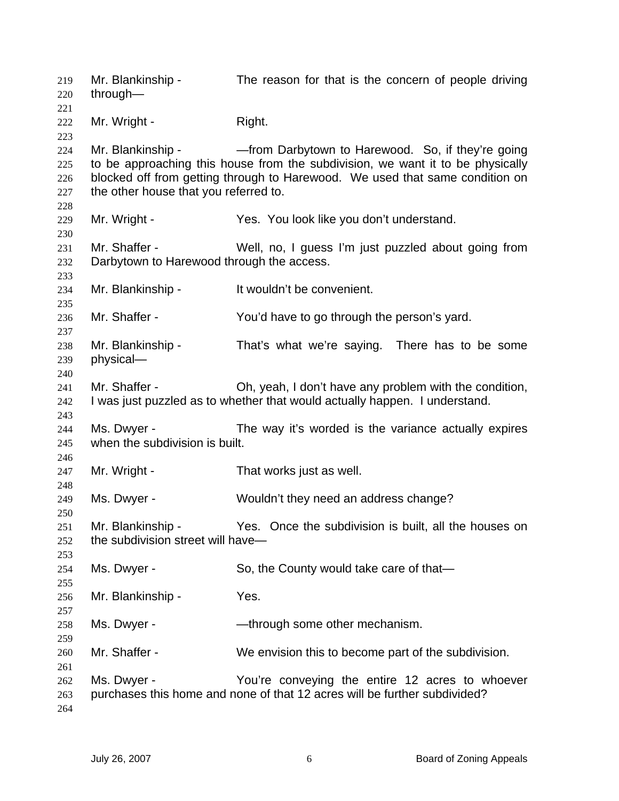Mr. Blankinship - The reason for that is the concern of people driving through— Mr. Wright - Right. Mr. Blankinship - — — — from Darbytown to Harewood. So, if they're going to be approaching this house from the subdivision, we want it to be physically blocked off from getting through to Harewood. We used that same condition on the other house that you referred to. Mr. Wright - Yes. You look like you don't understand. Mr. Shaffer - Well, no, I guess I'm just puzzled about going from Darbytown to Harewood through the access. Mr. Blankinship - It wouldn't be convenient. Mr. Shaffer - You'd have to go through the person's yard. Mr. Blankinship - That's what we're saying. There has to be some physical— Mr. Shaffer - Oh, yeah, I don't have any problem with the condition, I was just puzzled as to whether that would actually happen. I understand. Ms. Dwyer - The way it's worded is the variance actually expires when the subdivision is built. Mr. Wright - That works just as well. Ms. Dwyer - Wouldn't they need an address change? Mr. Blankinship - Yes. Once the subdivision is built, all the houses on the subdivision street will have— Ms. Dwyer - So, the County would take care of that— Mr. Blankinship - Yes. Ms. Dwyer - — — through some other mechanism. Mr. Shaffer - We envision this to become part of the subdivision. Ms. Dwyer - You're conveying the entire 12 acres to whoever purchases this home and none of that 12 acres will be further subdivided?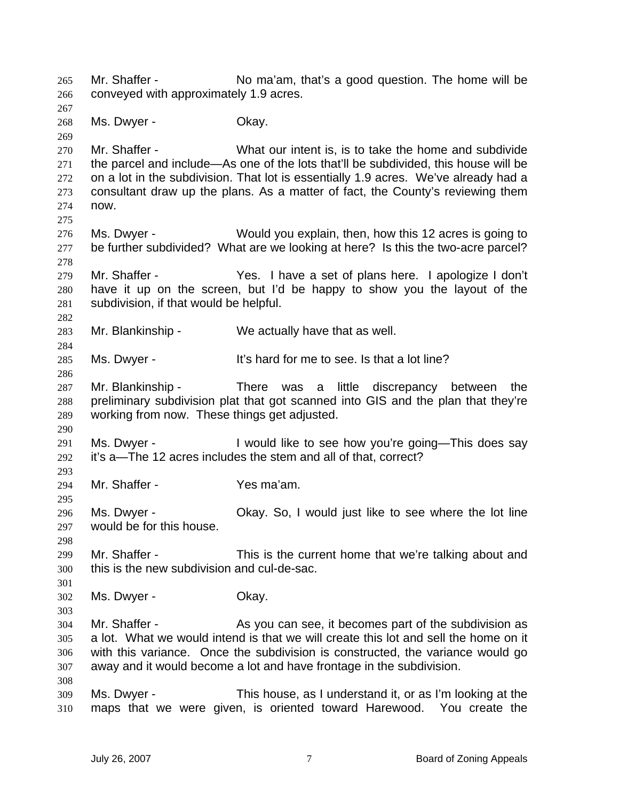Mr. Shaffer - No ma'am, that's a good question. The home will be conveyed with approximately 1.9 acres. 265 266 267 268 269 270 271 272 273 274 275 276 277 278 279 280 281 282 283 284 285 286 287 288 289 290 291 292 293 294 295 296 297 298 299 300 301 302 303 304 305 306 307 308 309 310 Ms. Dwyer - Chay. Mr. Shaffer - What our intent is, is to take the home and subdivide the parcel and include—As one of the lots that'll be subdivided, this house will be on a lot in the subdivision. That lot is essentially 1.9 acres. We've already had a consultant draw up the plans. As a matter of fact, the County's reviewing them now. Ms. Dwyer - Would you explain, then, how this 12 acres is going to be further subdivided? What are we looking at here? Is this the two-acre parcel? Mr. Shaffer - Yes. I have a set of plans here. I apologize I don't have it up on the screen, but I'd be happy to show you the layout of the subdivision, if that would be helpful. Mr. Blankinship - We actually have that as well. Ms. Dwyer - It's hard for me to see. Is that a lot line? Mr. Blankinship - There was a little discrepancy between the preliminary subdivision plat that got scanned into GIS and the plan that they're working from now. These things get adjusted. Ms. Dwyer - I would like to see how you're going—This does say it's a—The 12 acres includes the stem and all of that, correct? Mr. Shaffer - Yes ma'am. Ms. Dwyer - Okay. So, I would just like to see where the lot line would be for this house. Mr. Shaffer - This is the current home that we're talking about and this is the new subdivision and cul-de-sac. Ms. Dwyer - Chay. Mr. Shaffer - As you can see, it becomes part of the subdivision as a lot. What we would intend is that we will create this lot and sell the home on it with this variance. Once the subdivision is constructed, the variance would go away and it would become a lot and have frontage in the subdivision. Ms. Dwyer - This house, as I understand it, or as I'm looking at the maps that we were given, is oriented toward Harewood. You create the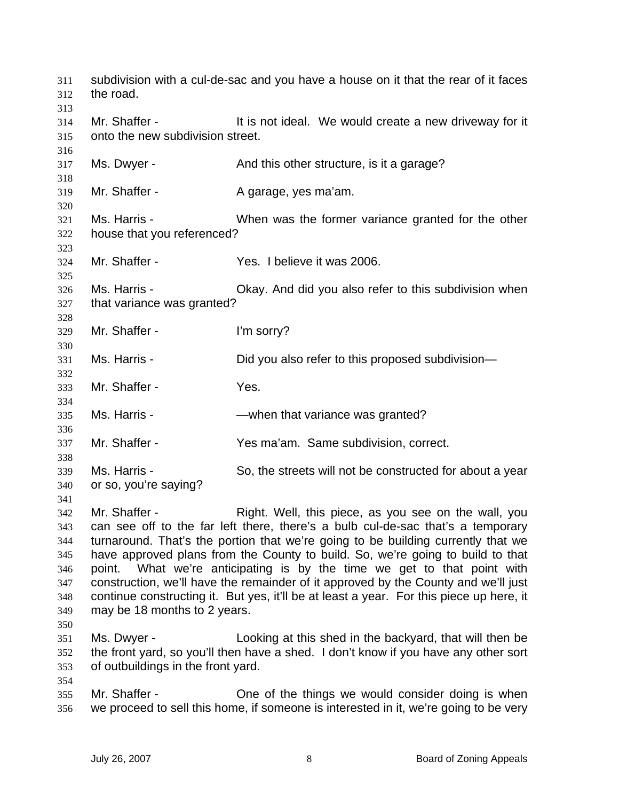| 311<br>312<br>313                                           | the road.                                                                                                                                                                                                                                                                                                                                                                                                                                                                                                                                                                                                                     | subdivision with a cul-de-sac and you have a house on it that the rear of it faces                                                             |
|-------------------------------------------------------------|-------------------------------------------------------------------------------------------------------------------------------------------------------------------------------------------------------------------------------------------------------------------------------------------------------------------------------------------------------------------------------------------------------------------------------------------------------------------------------------------------------------------------------------------------------------------------------------------------------------------------------|------------------------------------------------------------------------------------------------------------------------------------------------|
| 314<br>315<br>316                                           | Mr. Shaffer -<br>onto the new subdivision street.                                                                                                                                                                                                                                                                                                                                                                                                                                                                                                                                                                             | It is not ideal. We would create a new driveway for it                                                                                         |
| 317<br>318                                                  | Ms. Dwyer -                                                                                                                                                                                                                                                                                                                                                                                                                                                                                                                                                                                                                   | And this other structure, is it a garage?                                                                                                      |
| 319<br>320                                                  | Mr. Shaffer -                                                                                                                                                                                                                                                                                                                                                                                                                                                                                                                                                                                                                 | A garage, yes ma'am.                                                                                                                           |
| 321<br>322<br>323                                           | Ms. Harris -<br>house that you referenced?                                                                                                                                                                                                                                                                                                                                                                                                                                                                                                                                                                                    | When was the former variance granted for the other                                                                                             |
| 324<br>325                                                  | Mr. Shaffer -                                                                                                                                                                                                                                                                                                                                                                                                                                                                                                                                                                                                                 | Yes. I believe it was 2006.                                                                                                                    |
| 326<br>327<br>328                                           | Ms. Harris -<br>that variance was granted?                                                                                                                                                                                                                                                                                                                                                                                                                                                                                                                                                                                    | Okay. And did you also refer to this subdivision when                                                                                          |
| 329<br>330                                                  | Mr. Shaffer -                                                                                                                                                                                                                                                                                                                                                                                                                                                                                                                                                                                                                 | I'm sorry?                                                                                                                                     |
| 331<br>332                                                  | Ms. Harris -                                                                                                                                                                                                                                                                                                                                                                                                                                                                                                                                                                                                                  | Did you also refer to this proposed subdivision-                                                                                               |
| 333<br>334                                                  | Mr. Shaffer -                                                                                                                                                                                                                                                                                                                                                                                                                                                                                                                                                                                                                 | Yes.                                                                                                                                           |
| 335<br>336                                                  | Ms. Harris -                                                                                                                                                                                                                                                                                                                                                                                                                                                                                                                                                                                                                  | -when that variance was granted?                                                                                                               |
| 337<br>338                                                  | Mr. Shaffer -                                                                                                                                                                                                                                                                                                                                                                                                                                                                                                                                                                                                                 | Yes ma'am. Same subdivision, correct.                                                                                                          |
| 339<br>340<br>341                                           | Ms. Harris -<br>or so, you're saying?                                                                                                                                                                                                                                                                                                                                                                                                                                                                                                                                                                                         | So, the streets will not be constructed for about a year                                                                                       |
| 342<br>343<br>344<br>345<br>346<br>347<br>348<br>349<br>350 | Mr. Shaffer -<br>Right. Well, this piece, as you see on the wall, you<br>can see off to the far left there, there's a bulb cul-de-sac that's a temporary<br>turnaround. That's the portion that we're going to be building currently that we<br>have approved plans from the County to build. So, we're going to build to that<br>What we're anticipating is by the time we get to that point with<br>point.<br>construction, we'll have the remainder of it approved by the County and we'll just<br>continue constructing it. But yes, it'll be at least a year. For this piece up here, it<br>may be 18 months to 2 years. |                                                                                                                                                |
| 351<br>352<br>353<br>354                                    | Ms. Dwyer -<br>of outbuildings in the front yard.                                                                                                                                                                                                                                                                                                                                                                                                                                                                                                                                                                             | Looking at this shed in the backyard, that will then be<br>the front yard, so you'll then have a shed. I don't know if you have any other sort |
| 355<br>356                                                  | Mr. Shaffer -                                                                                                                                                                                                                                                                                                                                                                                                                                                                                                                                                                                                                 | One of the things we would consider doing is when<br>we proceed to sell this home, if someone is interested in it, we're going to be very      |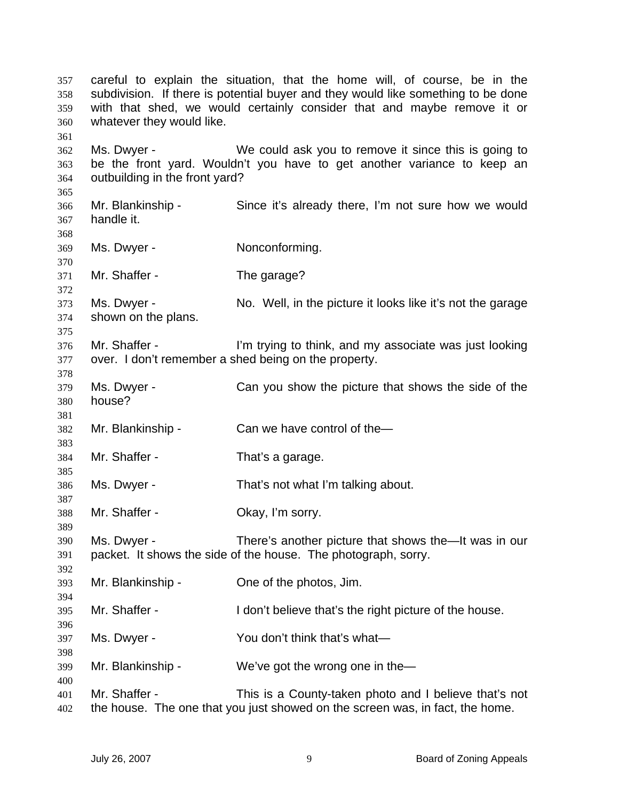careful to explain the situation, that the home will, of course, be in the subdivision. If there is potential buyer and they would like something to be done with that shed, we would certainly consider that and maybe remove it or whatever they would like. Ms. Dwyer - We could ask you to remove it since this is going to be the front yard. Wouldn't you have to get another variance to keep an outbuilding in the front yard? Mr. Blankinship - Since it's already there, I'm not sure how we would handle it. Ms. Dwyer - Nonconforming. Mr. Shaffer - The garage? Ms. Dwyer - No. Well, in the picture it looks like it's not the garage shown on the plans. Mr. Shaffer - I'm trying to think, and my associate was just looking over. I don't remember a shed being on the property. Ms. Dwyer - Can you show the picture that shows the side of the house? Mr. Blankinship - Can we have control of the-Mr. Shaffer - That's a garage. Ms. Dwyer - That's not what I'm talking about. Mr. Shaffer - Chay, I'm sorry. Ms. Dwyer - There's another picture that shows the—It was in our packet. It shows the side of the house. The photograph, sorry. Mr. Blankinship - One of the photos, Jim. Mr. Shaffer - I don't believe that's the right picture of the house. Ms. Dwyer - You don't think that's what— Mr. Blankinship - We've got the wrong one in the Mr. Shaffer - This is a County-taken photo and I believe that's not the house. The one that you just showed on the screen was, in fact, the home.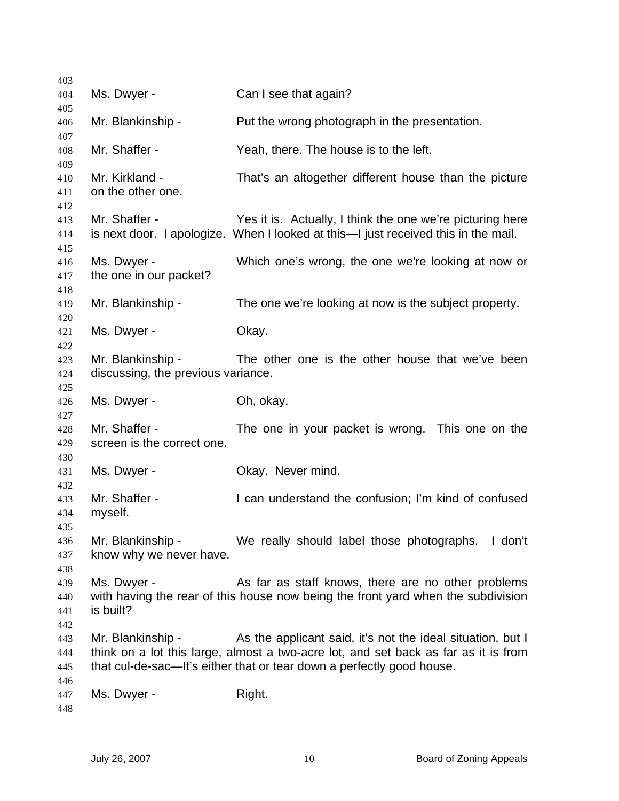| 403        |                                    |                                                                                                                                                 |
|------------|------------------------------------|-------------------------------------------------------------------------------------------------------------------------------------------------|
| 404        | Ms. Dwyer -                        | Can I see that again?                                                                                                                           |
| 405        |                                    |                                                                                                                                                 |
| 406<br>407 | Mr. Blankinship -                  | Put the wrong photograph in the presentation.                                                                                                   |
| 408<br>409 | Mr. Shaffer -                      | Yeah, there. The house is to the left.                                                                                                          |
| 410        | Mr. Kirkland -                     | That's an altogether different house than the picture                                                                                           |
| 411        | on the other one.                  |                                                                                                                                                 |
| 412        |                                    |                                                                                                                                                 |
| 413<br>414 | Mr. Shaffer -                      | Yes it is. Actually, I think the one we're picturing here<br>is next door. I apologize. When I looked at this—I just received this in the mail. |
| 415<br>416 | Ms. Dwyer -                        | Which one's wrong, the one we're looking at now or                                                                                              |
| 417<br>418 | the one in our packet?             |                                                                                                                                                 |
| 419        | Mr. Blankinship -                  | The one we're looking at now is the subject property.                                                                                           |
| 420<br>421 | Ms. Dwyer -                        | Okay.                                                                                                                                           |
| 422        |                                    |                                                                                                                                                 |
| 423        | Mr. Blankinship -                  | The other one is the other house that we've been                                                                                                |
| 424        | discussing, the previous variance. |                                                                                                                                                 |
| 425        |                                    |                                                                                                                                                 |
| 426        | Ms. Dwyer -                        | Oh, okay.                                                                                                                                       |
| 427        |                                    |                                                                                                                                                 |
| 428        | Mr. Shaffer -                      | The one in your packet is wrong. This one on the                                                                                                |
| 429        | screen is the correct one.         |                                                                                                                                                 |
| 430<br>431 | Ms. Dwyer -                        | Okay. Never mind.                                                                                                                               |
| 432        |                                    |                                                                                                                                                 |
| 433        | Mr. Shaffer -                      | I can understand the confusion; I'm kind of confused                                                                                            |
| 434        | myself.                            |                                                                                                                                                 |
| 435        |                                    |                                                                                                                                                 |
| 436        | Mr. Blankinship -                  | We really should label those photographs.<br>I don't                                                                                            |
| 437        | know why we never have.            |                                                                                                                                                 |
| 438        |                                    |                                                                                                                                                 |
| 439        | Ms. Dwyer -                        | As far as staff knows, there are no other problems                                                                                              |
| 440        |                                    | with having the rear of this house now being the front yard when the subdivision                                                                |
| 441        | is built?                          |                                                                                                                                                 |
| 442        |                                    |                                                                                                                                                 |
| 443        | Mr. Blankinship -                  | As the applicant said, it's not the ideal situation, but I                                                                                      |
| 444        |                                    | think on a lot this large, almost a two-acre lot, and set back as far as it is from                                                             |
| 445        |                                    | that cul-de-sac—It's either that or tear down a perfectly good house.                                                                           |
| 446        |                                    |                                                                                                                                                 |
| 447        | Ms. Dwyer -                        | Right.                                                                                                                                          |
| 448        |                                    |                                                                                                                                                 |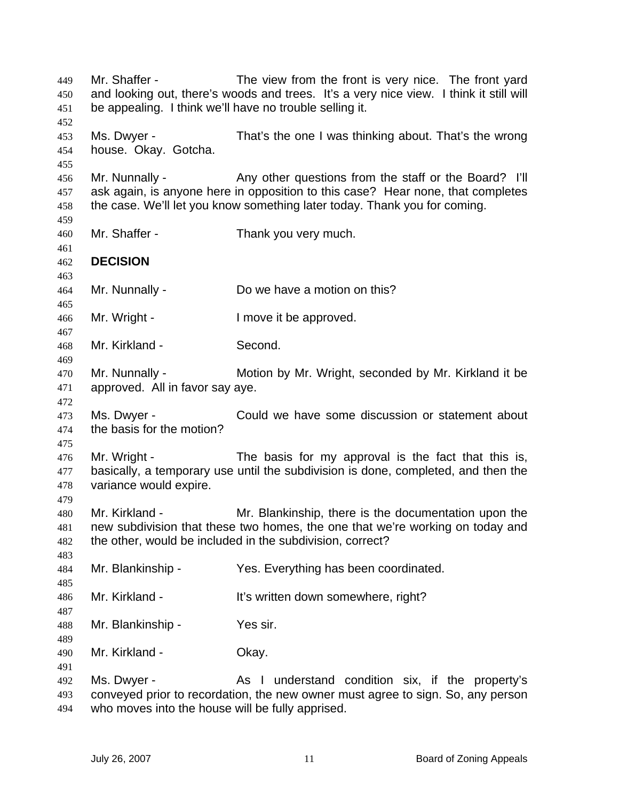Mr. Shaffer - The view from the front is very nice. The front yard and looking out, there's woods and trees. It's a very nice view. I think it still will be appealing. I think we'll have no trouble selling it. 449 450 451 452 453 454 455 456 457 458 459 460 461 462 463 464 465 466 467 468 469 470 471 472 473 474 475 476 477 478 479 480 481 482 483 484 485 486 487 488 489 490 491 492 493 494 Ms. Dwyer - That's the one I was thinking about. That's the wrong house. Okay. Gotcha. Mr. Nunnally - Any other questions from the staff or the Board? I'll ask again, is anyone here in opposition to this case? Hear none, that completes the case. We'll let you know something later today. Thank you for coming. Mr. Shaffer - Thank you very much. **DECISION**  Mr. Nunnally - Do we have a motion on this? Mr. Wright - The Muslim Cove it be approved. Mr. Kirkland - Second. Mr. Nunnally - Motion by Mr. Wright, seconded by Mr. Kirkland it be approved. All in favor say aye. Ms. Dwyer - Could we have some discussion or statement about the basis for the motion? Mr. Wright - The basis for my approval is the fact that this is, basically, a temporary use until the subdivision is done, completed, and then the variance would expire. Mr. Kirkland - Mr. Blankinship, there is the documentation upon the new subdivision that these two homes, the one that we're working on today and the other, would be included in the subdivision, correct? Mr. Blankinship - Yes. Everything has been coordinated. Mr. Kirkland - It's written down somewhere, right? Mr. Blankinship - Yes sir. Mr. Kirkland - **Okay.** Ms. Dwyer - As I understand condition six, if the property's conveyed prior to recordation, the new owner must agree to sign. So, any person who moves into the house will be fully apprised.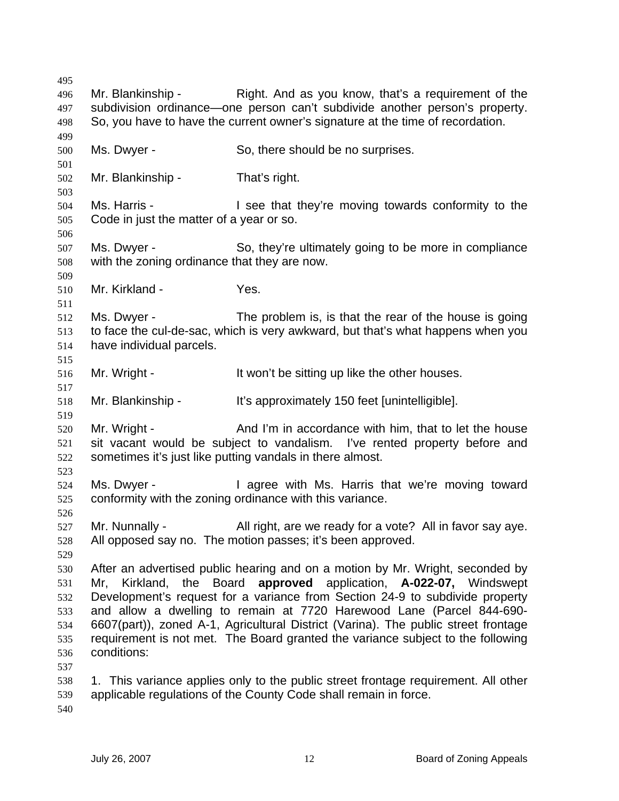495 496 497 498 499 500 501 502 503 504 505 506 507 508 509 510 511 512 513 514 515 516 517 518 519 520 521 522 523 524 525 526 527 528 529 530 531 532 533 534 535 536 537 538 539 540 Mr. Blankinship - Right. And as you know, that's a requirement of the subdivision ordinance—one person can't subdivide another person's property. So, you have to have the current owner's signature at the time of recordation. Ms. Dwyer - So, there should be no surprises. Mr. Blankinship - That's right. Ms. Harris - The See that they're moving towards conformity to the Code in just the matter of a year or so. Ms. Dwyer - So, they're ultimately going to be more in compliance with the zoning ordinance that they are now. Mr. Kirkland - Yes. Ms. Dwyer - The problem is, is that the rear of the house is going to face the cul-de-sac, which is very awkward, but that's what happens when you have individual parcels. Mr. Wright - The Music state of the sitting up like the other houses. Mr. Blankinship - It's approximately 150 feet [unintelligible]. Mr. Wright - **And I'm in accordance with him, that to let the house** sit vacant would be subject to vandalism. I've rented property before and sometimes it's just like putting vandals in there almost. Ms. Dwyer - I agree with Ms. Harris that we're moving toward conformity with the zoning ordinance with this variance. Mr. Nunnally - All right, are we ready for a vote? All in favor say aye. All opposed say no. The motion passes; it's been approved. After an advertised public hearing and on a motion by Mr. Wright, seconded by Mr, Kirkland, the Board **approved** application, **A-022-07,** Windswept Development's request for a variance from Section 24-9 to subdivide property and allow a dwelling to remain at 7720 Harewood Lane (Parcel 844-690- 6607(part)), zoned A-1, Agricultural District (Varina). The public street frontage requirement is not met. The Board granted the variance subject to the following conditions: 1. This variance applies only to the public street frontage requirement. All other applicable regulations of the County Code shall remain in force.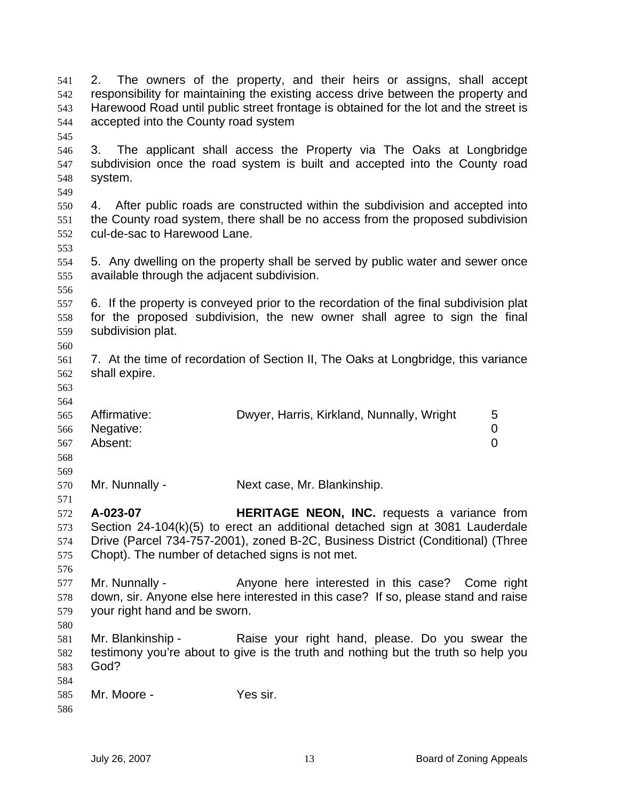| 541<br>542<br>543<br>544<br>545 | 2.<br>accepted into the County road system                   | The owners of the property, and their heirs or assigns, shall accept<br>responsibility for maintaining the existing access drive between the property and<br>Harewood Road until public street frontage is obtained for the lot and the street is |
|---------------------------------|--------------------------------------------------------------|---------------------------------------------------------------------------------------------------------------------------------------------------------------------------------------------------------------------------------------------------|
| 546<br>547<br>548<br>549        | 3.<br>system.                                                | The applicant shall access the Property via The Oaks at Longbridge<br>subdivision once the road system is built and accepted into the County road                                                                                                 |
| 550<br>551<br>552<br>553        | 4.<br>cul-de-sac to Harewood Lane.                           | After public roads are constructed within the subdivision and accepted into<br>the County road system, there shall be no access from the proposed subdivision                                                                                     |
| 554<br>555<br>556               | available through the adjacent subdivision.                  | 5. Any dwelling on the property shall be served by public water and sewer once                                                                                                                                                                    |
| 557<br>558<br>559<br>560        | subdivision plat.                                            | 6. If the property is conveyed prior to the recordation of the final subdivision plat<br>for the proposed subdivision, the new owner shall agree to sign the final                                                                                |
| 561<br>562<br>563<br>564        | shall expire.                                                | 7. At the time of recordation of Section II, The Oaks at Longbridge, this variance                                                                                                                                                                |
| 565<br>566<br>567<br>568<br>569 | Affirmative:<br>Negative:<br>Absent:                         | Dwyer, Harris, Kirkland, Nunnally, Wright<br>5<br>0<br>0                                                                                                                                                                                          |
| 570<br>571                      | Mr. Nunnally -                                               | Next case, Mr. Blankinship.                                                                                                                                                                                                                       |
| 572<br>573<br>574<br>575<br>576 | A-023-07<br>Chopt). The number of detached signs is not met. | <b>HERITAGE NEON, INC.</b> requests a variance from<br>Section 24-104(k)(5) to erect an additional detached sign at 3081 Lauderdale<br>Drive (Parcel 734-757-2001), zoned B-2C, Business District (Conditional) (Three                            |
| 577<br>578<br>579<br>580        | Mr. Nunnally -<br>your right hand and be sworn.              | Anyone here interested in this case? Come right<br>down, sir. Anyone else here interested in this case? If so, please stand and raise                                                                                                             |
| 581<br>582<br>583<br>584        | Mr. Blankinship -<br>God?                                    | Raise your right hand, please. Do you swear the<br>testimony you're about to give is the truth and nothing but the truth so help you                                                                                                              |
| 585<br>586                      | Mr. Moore -                                                  | Yes sir.                                                                                                                                                                                                                                          |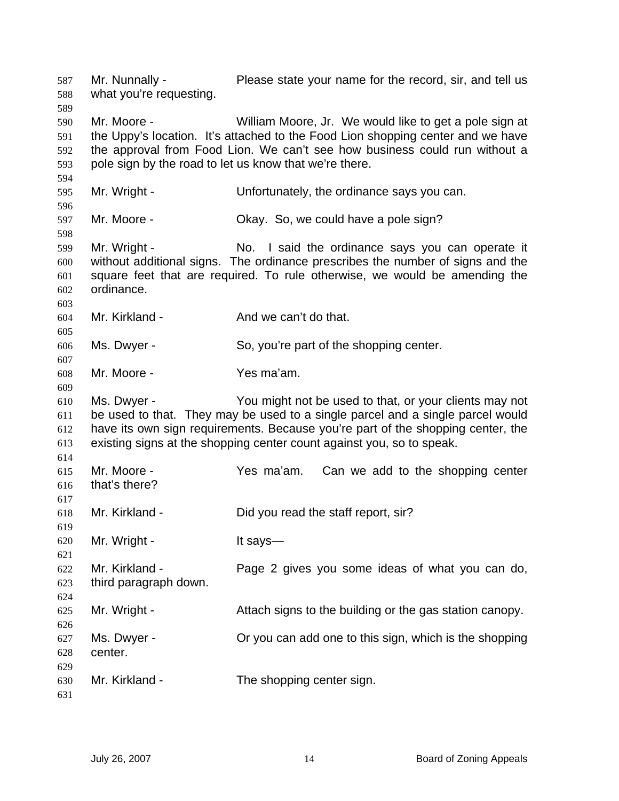Mr. Nunnally - Please state your name for the record, sir, and tell us what you're requesting. 587 588 589 590 591 592 593 594 595 596 597 598 599 600 601 602 603 604 605 606 607 608 609 610 611 612 613 614 615 616 617 618 619 620 621 622 623 624 625 626 627 628 629 630 631 Mr. Moore - William Moore, Jr. We would like to get a pole sign at the Uppy's location. It's attached to the Food Lion shopping center and we have the approval from Food Lion. We can't see how business could run without a pole sign by the road to let us know that we're there. Mr. Wright - Unfortunately, the ordinance says you can. Mr. Moore - Chay. So, we could have a pole sign? Mr. Wright - No. I said the ordinance says you can operate it without additional signs. The ordinance prescribes the number of signs and the square feet that are required. To rule otherwise, we would be amending the ordinance. Mr. Kirkland - The And we can't do that. Ms. Dwyer - So, you're part of the shopping center. Mr. Moore - Yes ma'am. Ms. Dwyer - You might not be used to that, or your clients may not be used to that. They may be used to a single parcel and a single parcel would have its own sign requirements. Because you're part of the shopping center, the existing signs at the shopping center count against you, so to speak. Mr. Moore - Yes ma'am. Can we add to the shopping center that's there? Mr. Kirkland - Did you read the staff report, sir? Mr. Wright - It says— Mr. Kirkland - Page 2 gives you some ideas of what you can do, third paragraph down. Mr. Wright - Attach signs to the building or the gas station canopy. Ms. Dwyer - Or you can add one to this sign, which is the shopping center. Mr. Kirkland - The shopping center sign.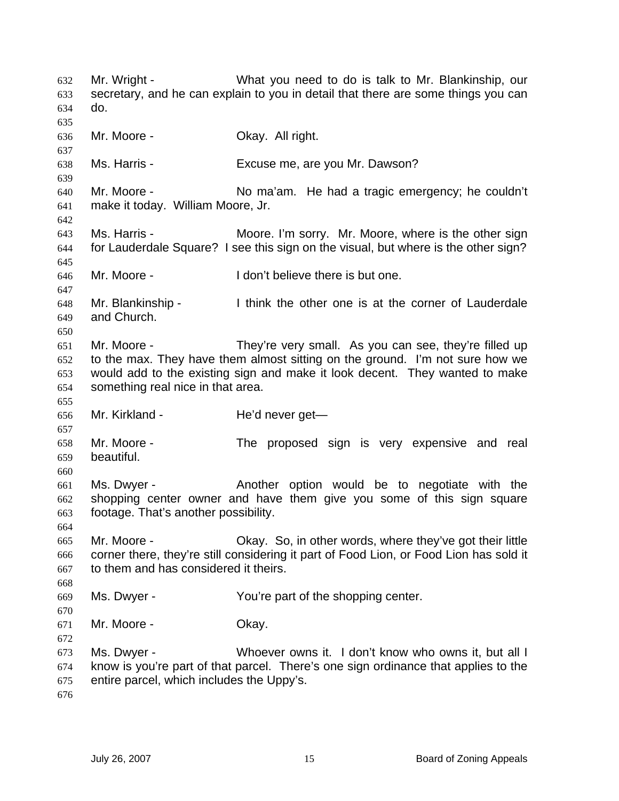Mr. Wright - What you need to do is talk to Mr. Blankinship, our secretary, and he can explain to you in detail that there are some things you can do. 632 633 634 635 636 637 638 639 640 641 642 643 644 645 646 647 648 649 650 651 652 653 654 655 656 657 658 659 660 661 662 663 664 665 666 667 668 669 670 671 672 673 674 675 676 Mr. Moore - **Okay. All right.** Ms. Harris - Excuse me, are you Mr. Dawson? Mr. Moore - No ma'am. He had a tragic emergency; he couldn't make it today. William Moore, Jr. Ms. Harris - **Moore.** I'm sorry. Mr. Moore, where is the other sign for Lauderdale Square? I see this sign on the visual, but where is the other sign? Mr. Moore - The I don't believe there is but one. Mr. Blankinship - Think the other one is at the corner of Lauderdale and Church. Mr. Moore - They're very small. As you can see, they're filled up to the max. They have them almost sitting on the ground. I'm not sure how we would add to the existing sign and make it look decent. They wanted to make something real nice in that area. Mr. Kirkland - He'd never get— Mr. Moore - The proposed sign is very expensive and real beautiful. Ms. Dwyer - The Another option would be to negotiate with the shopping center owner and have them give you some of this sign square footage. That's another possibility. Mr. Moore - Ckay. So, in other words, where they've got their little corner there, they're still considering it part of Food Lion, or Food Lion has sold it to them and has considered it theirs. Ms. Dwyer - The You're part of the shopping center. Mr. Moore - Ckay. Ms. Dwyer - Whoever owns it. I don't know who owns it, but all I know is you're part of that parcel. There's one sign ordinance that applies to the entire parcel, which includes the Uppy's.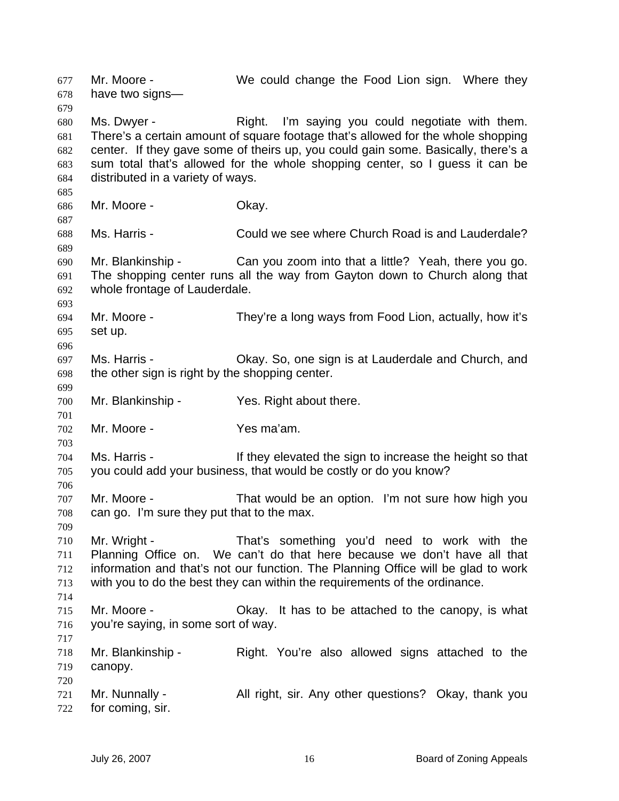Mr. Moore - We could change the Food Lion sign. Where they have two signs— 677 678 679 680 681 682 683 684 685 686 687 688 689 690 691 692 693 694 695 696 697 698 699 700 701 702 703 704 705 706 707 708 709 710 711 712 713 714 715 716 717 718 719 720 721 722 Ms. Dwyer - The Right. I'm saying you could negotiate with them. There's a certain amount of square footage that's allowed for the whole shopping center. If they gave some of theirs up, you could gain some. Basically, there's a sum total that's allowed for the whole shopping center, so I guess it can be distributed in a variety of ways. Mr. Moore - Chay. Ms. Harris - Could we see where Church Road is and Lauderdale? Mr. Blankinship - Can you zoom into that a little? Yeah, there you go. The shopping center runs all the way from Gayton down to Church along that whole frontage of Lauderdale. Mr. Moore - They're a long ways from Food Lion, actually, how it's set up. Ms. Harris - Okay. So, one sign is at Lauderdale and Church, and the other sign is right by the shopping center. Mr. Blankinship - Yes. Right about there. Mr. Moore - Yes ma'am. Ms. Harris - They elevated the sign to increase the height so that you could add your business, that would be costly or do you know? Mr. Moore - That would be an option. I'm not sure how high you can go. I'm sure they put that to the max. Mr. Wright - That's something you'd need to work with the Planning Office on. We can't do that here because we don't have all that information and that's not our function. The Planning Office will be glad to work with you to do the best they can within the requirements of the ordinance. Mr. Moore - Okay. It has to be attached to the canopy, is what you're saying, in some sort of way. Mr. Blankinship - Right. You're also allowed signs attached to the canopy. Mr. Nunnally - All right, sir. Any other questions? Okay, thank you for coming, sir.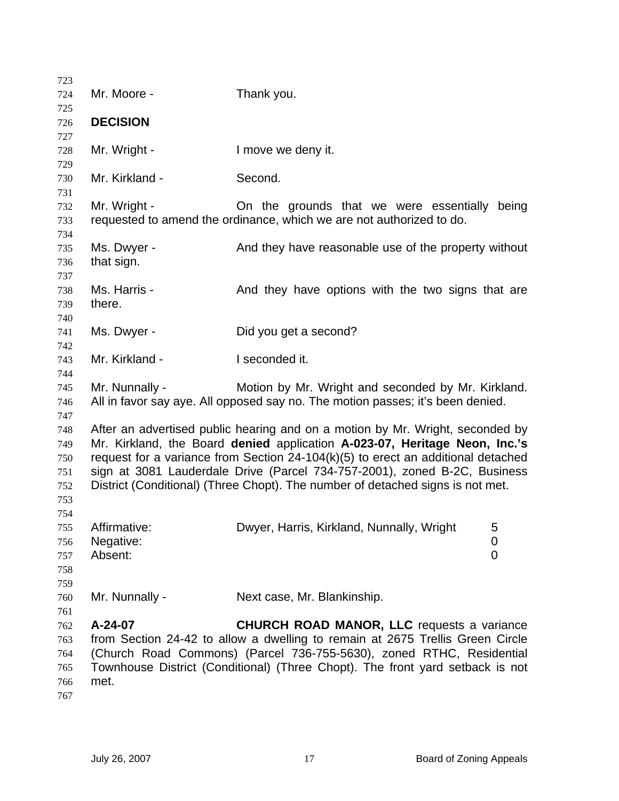| 723                                           |                                      |                                                                                                                                                                                                                                                                                                                                                                                                                  |
|-----------------------------------------------|--------------------------------------|------------------------------------------------------------------------------------------------------------------------------------------------------------------------------------------------------------------------------------------------------------------------------------------------------------------------------------------------------------------------------------------------------------------|
| 724                                           | Mr. Moore -                          | Thank you.                                                                                                                                                                                                                                                                                                                                                                                                       |
| 725                                           |                                      |                                                                                                                                                                                                                                                                                                                                                                                                                  |
| 726                                           | <b>DECISION</b>                      |                                                                                                                                                                                                                                                                                                                                                                                                                  |
| 727<br>728                                    | Mr. Wright -                         | I move we deny it.                                                                                                                                                                                                                                                                                                                                                                                               |
| 729<br>730<br>731                             | Mr. Kirkland -                       | Second.                                                                                                                                                                                                                                                                                                                                                                                                          |
| 732<br>733<br>734                             | Mr. Wright -                         | On the grounds that we were essentially<br>being<br>requested to amend the ordinance, which we are not authorized to do.                                                                                                                                                                                                                                                                                         |
| 735<br>736                                    | Ms. Dwyer -<br>that sign.            | And they have reasonable use of the property without                                                                                                                                                                                                                                                                                                                                                             |
| 737<br>738<br>739                             | Ms. Harris -<br>there.               | And they have options with the two signs that are                                                                                                                                                                                                                                                                                                                                                                |
| 740<br>741<br>742                             | Ms. Dwyer -                          | Did you get a second?                                                                                                                                                                                                                                                                                                                                                                                            |
| 743<br>744                                    | Mr. Kirkland -                       | I seconded it.                                                                                                                                                                                                                                                                                                                                                                                                   |
| 745<br>746                                    | Mr. Nunnally -                       | Motion by Mr. Wright and seconded by Mr. Kirkland.<br>All in favor say aye. All opposed say no. The motion passes; it's been denied.                                                                                                                                                                                                                                                                             |
| 747<br>748<br>749<br>750<br>751<br>752<br>753 |                                      | After an advertised public hearing and on a motion by Mr. Wright, seconded by<br>Mr. Kirkland, the Board denied application A-023-07, Heritage Neon, Inc.'s<br>request for a variance from Section $24-104(k)(5)$ to erect an additional detached<br>sign at 3081 Lauderdale Drive (Parcel 734-757-2001), zoned B-2C, Business<br>District (Conditional) (Three Chopt). The number of detached signs is not met. |
| 754<br>755<br>756<br>757<br>758               | Affirmative:<br>Negative:<br>Absent: | Dwyer, Harris, Kirkland, Nunnally, Wright<br>5<br>0<br>$\mathbf 0$                                                                                                                                                                                                                                                                                                                                               |
| 759<br>760                                    | Mr. Nunnally -                       | Next case, Mr. Blankinship.                                                                                                                                                                                                                                                                                                                                                                                      |
| 761<br>762<br>763<br>764<br>765<br>766<br>767 | A-24-07<br>met.                      | <b>CHURCH ROAD MANOR, LLC</b> requests a variance<br>from Section 24-42 to allow a dwelling to remain at 2675 Trellis Green Circle<br>(Church Road Commons) (Parcel 736-755-5630), zoned RTHC, Residential<br>Townhouse District (Conditional) (Three Chopt). The front yard setback is not                                                                                                                      |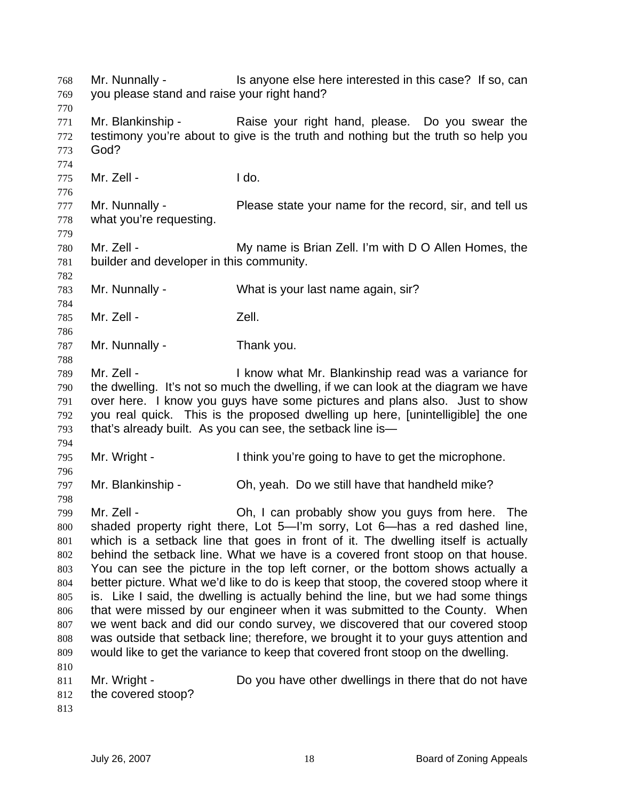Mr. Nunnally - This anyone else here interested in this case? If so, can you please stand and raise your right hand? 768 769 770 771 772 773 774 775 776 777 778 779 780 781 782 783 784 785 786 787 788 789 790 791 792 793 794 795 796 797 798 799 800 801 802 803 804 805 806 807 808 809 810 811 812 813 Mr. Blankinship - Raise your right hand, please. Do you swear the testimony you're about to give is the truth and nothing but the truth so help you God? Mr. Zell - The Music Communication of the United States of the United States of the United States of the United States of the United States of the United States of the United States of the United States of the United State Mr. Nunnally - Please state your name for the record, sir, and tell us what you're requesting. Mr. Zell - My name is Brian Zell. I'm with D O Allen Homes, the builder and developer in this community. Mr. Nunnally - What is your last name again, sir? Mr. Zell - The Music Coll. Mr. Nunnally - Thank you. Mr. Zell - I know what Mr. Blankinship read was a variance for the dwelling. It's not so much the dwelling, if we can look at the diagram we have over here. I know you guys have some pictures and plans also. Just to show you real quick. This is the proposed dwelling up here, [unintelligible] the one that's already built. As you can see, the setback line is— Mr. Wright - I think you're going to have to get the microphone. Mr. Blankinship - Oh, yeah. Do we still have that handheld mike? Mr. Zell - Ch, I can probably show you guys from here. The shaded property right there, Lot 5—I'm sorry, Lot 6—has a red dashed line, which is a setback line that goes in front of it. The dwelling itself is actually behind the setback line. What we have is a covered front stoop on that house. You can see the picture in the top left corner, or the bottom shows actually a better picture. What we'd like to do is keep that stoop, the covered stoop where it is. Like I said, the dwelling is actually behind the line, but we had some things that were missed by our engineer when it was submitted to the County. When we went back and did our condo survey, we discovered that our covered stoop was outside that setback line; therefore, we brought it to your guys attention and would like to get the variance to keep that covered front stoop on the dwelling. Mr. Wright - Do you have other dwellings in there that do not have the covered stoop?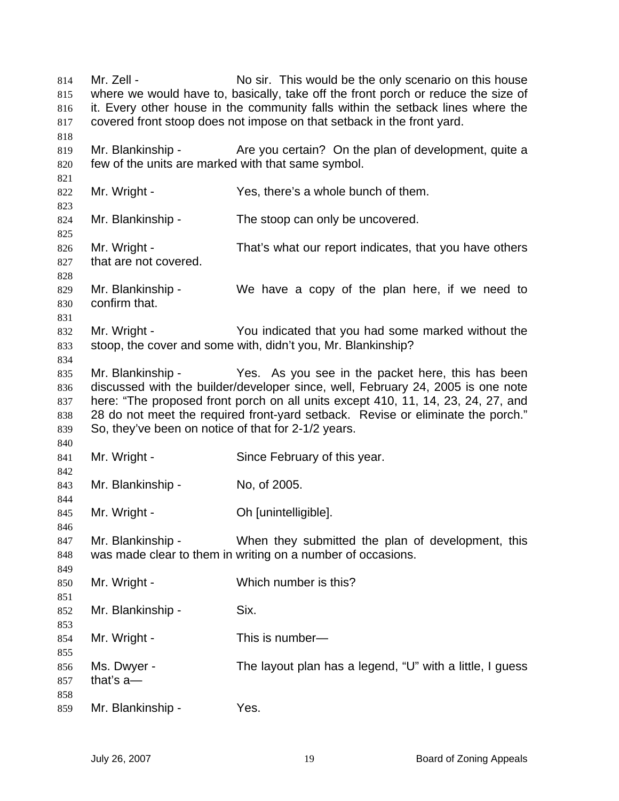Mr. Zell - No sir. This would be the only scenario on this house where we would have to, basically, take off the front porch or reduce the size of it. Every other house in the community falls within the setback lines where the covered front stoop does not impose on that setback in the front yard. 814 815 816 817 818 819 820 821 822 823 824 825 826 827 828 829 830 831 832 833 834 835 836 837 838 839 840 841 842 843 844 845 846 847 848 849 850 851 852 853 854 855 856 857 858 859 Mr. Blankinship - Are you certain? On the plan of development, quite a few of the units are marked with that same symbol. Mr. Wright - Yes, there's a whole bunch of them. Mr. Blankinship - The stoop can only be uncovered. Mr. Wright - That's what our report indicates, that you have others that are not covered. Mr. Blankinship - We have a copy of the plan here, if we need to confirm that. Mr. Wright - You indicated that you had some marked without the stoop, the cover and some with, didn't you, Mr. Blankinship? Mr. Blankinship - Yes. As you see in the packet here, this has been discussed with the builder/developer since, well, February 24, 2005 is one note here: "The proposed front porch on all units except 410, 11, 14, 23, 24, 27, and 28 do not meet the required front-yard setback. Revise or eliminate the porch." So, they've been on notice of that for 2-1/2 years. Mr. Wright - Since February of this year. Mr. Blankinship - No, of 2005. Mr. Wright - **Oh [unintelligible]**. Mr. Blankinship - When they submitted the plan of development, this was made clear to them in writing on a number of occasions. Mr. Wright - Which number is this? Mr. Blankinship - Six. Mr. Wright - This is number— Ms. Dwyer - The layout plan has a legend, "U" with a little, I guess that's a— Mr. Blankinship - Yes.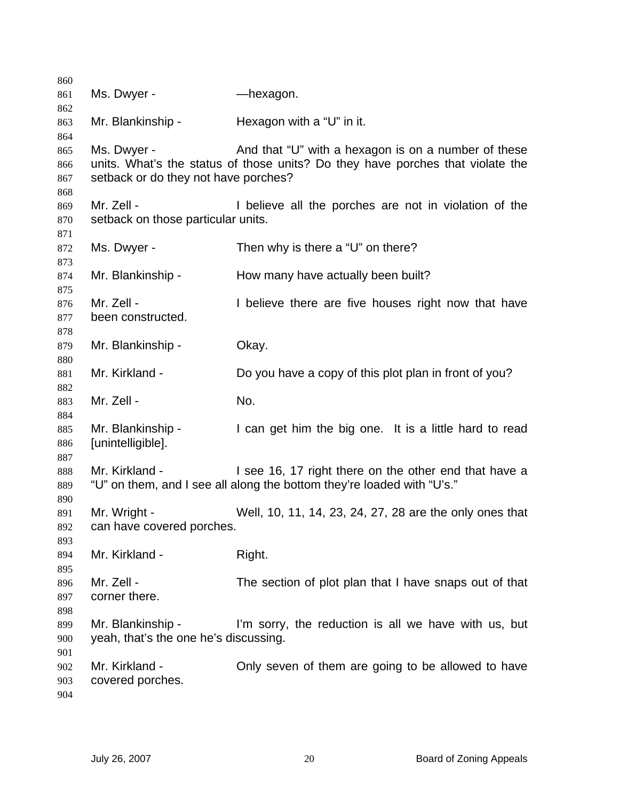| 860 |                                       |                                                                                |
|-----|---------------------------------------|--------------------------------------------------------------------------------|
| 861 | Ms. Dwyer -                           | —hexagon.                                                                      |
| 862 |                                       |                                                                                |
| 863 | Mr. Blankinship -                     | Hexagon with a "U" in it.                                                      |
| 864 |                                       |                                                                                |
| 865 | Ms. Dwyer -                           | And that "U" with a hexagon is on a number of these                            |
| 866 |                                       | units. What's the status of those units? Do they have porches that violate the |
| 867 | setback or do they not have porches?  |                                                                                |
| 868 |                                       |                                                                                |
| 869 | Mr. Zell -                            | I believe all the porches are not in violation of the                          |
| 870 | setback on those particular units.    |                                                                                |
| 871 |                                       |                                                                                |
| 872 | Ms. Dwyer -                           | Then why is there a "U" on there?                                              |
| 873 |                                       |                                                                                |
| 874 | Mr. Blankinship -                     | How many have actually been built?                                             |
| 875 |                                       |                                                                                |
| 876 | Mr. Zell -                            | I believe there are five houses right now that have                            |
| 877 | been constructed.                     |                                                                                |
| 878 |                                       |                                                                                |
| 879 | Mr. Blankinship -                     | Okay.                                                                          |
| 880 |                                       |                                                                                |
| 881 | Mr. Kirkland -                        | Do you have a copy of this plot plan in front of you?                          |
| 882 |                                       |                                                                                |
| 883 | Mr. Zell -                            | No.                                                                            |
| 884 |                                       |                                                                                |
| 885 | Mr. Blankinship -                     | I can get him the big one. It is a little hard to read                         |
| 886 | [unintelligible].                     |                                                                                |
| 887 |                                       |                                                                                |
| 888 | Mr. Kirkland -                        | I see 16, 17 right there on the other end that have a                          |
| 889 |                                       | "U" on them, and I see all along the bottom they're loaded with "U's."         |
| 890 |                                       |                                                                                |
| 891 | Mr. Wright -                          | Well, 10, 11, 14, 23, 24, 27, 28 are the only ones that                        |
| 892 | can have covered porches.             |                                                                                |
| 893 |                                       |                                                                                |
| 894 | Mr. Kirkland -                        | Right.                                                                         |
| 895 |                                       |                                                                                |
| 896 | Mr. Zell -                            | The section of plot plan that I have snaps out of that                         |
| 897 | corner there.                         |                                                                                |
| 898 |                                       |                                                                                |
| 899 | Mr. Blankinship -                     | I'm sorry, the reduction is all we have with us, but                           |
| 900 | yeah, that's the one he's discussing. |                                                                                |
| 901 |                                       |                                                                                |
| 902 | Mr. Kirkland -                        | Only seven of them are going to be allowed to have                             |
| 903 | covered porches.                      |                                                                                |
| 904 |                                       |                                                                                |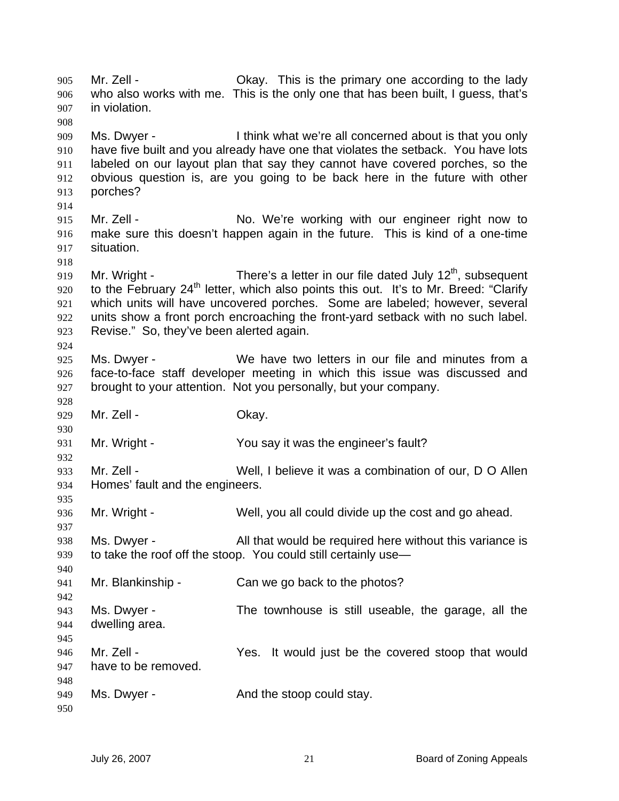Mr. Zell - Chay. This is the primary one according to the lady who also works with me. This is the only one that has been built, I guess, that's in violation. 905 906 907 908 909 910 911 912 913 914 915 916 917 918 919 920 921 922 923 924 925 926 927 928 929 930 931 932 933 934 935 936 937 938 939 940 941 942 943 944 945 946 947 948 949 950 Ms. Dwyer - I think what we're all concerned about is that you only have five built and you already have one that violates the setback. You have lots labeled on our layout plan that say they cannot have covered porches, so the obvious question is, are you going to be back here in the future with other porches? Mr. Zell - No. We're working with our engineer right now to make sure this doesn't happen again in the future. This is kind of a one-time situation. Mr. Wright - There's a letter in our file dated July  $12<sup>th</sup>$ , subsequent to the February 24<sup>th</sup> letter, which also points this out. It's to Mr. Breed: "Clarify which units will have uncovered porches. Some are labeled; however, several units show a front porch encroaching the front-yard setback with no such label. Revise." So, they've been alerted again. Ms. Dwyer - We have two letters in our file and minutes from a face-to-face staff developer meeting in which this issue was discussed and brought to your attention. Not you personally, but your company. Mr. Zell - Chay. Mr. Wright - The You say it was the engineer's fault? Mr. Zell - Well, I believe it was a combination of our, D O Allen Homes' fault and the engineers. Mr. Wright - Well, you all could divide up the cost and go ahead. Ms. Dwyer - All that would be required here without this variance is to take the roof off the stoop. You could still certainly use— Mr. Blankinship - Can we go back to the photos? Ms. Dwyer - The townhouse is still useable, the garage, all the dwelling area. Mr. Zell - The Yes. It would just be the covered stoop that would have to be removed. Ms. Dwyer - The State And the stoop could stay.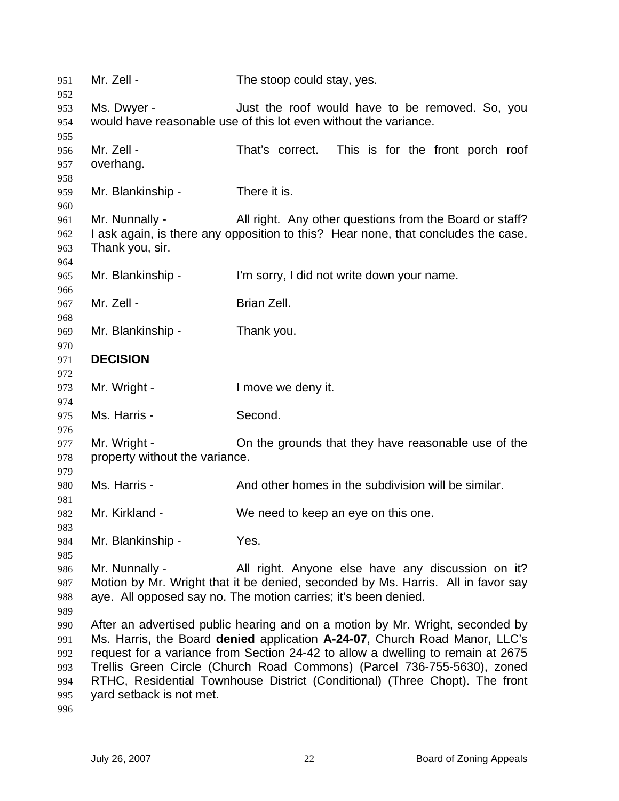| 951        | Mr. Zell -                     | The stoop could stay, yes.                                                        |
|------------|--------------------------------|-----------------------------------------------------------------------------------|
| 952<br>953 | Ms. Dwyer -                    | Just the roof would have to be removed. So, you                                   |
| 954        |                                | would have reasonable use of this lot even without the variance.                  |
| 955        |                                |                                                                                   |
| 956        | Mr. Zell -                     | That's correct.<br>This is for the front porch roof                               |
| 957        | overhang.                      |                                                                                   |
| 958        |                                |                                                                                   |
| 959        | Mr. Blankinship -              | There it is.                                                                      |
| 960        |                                |                                                                                   |
| 961        | Mr. Nunnally -                 | All right. Any other questions from the Board or staff?                           |
| 962<br>963 | Thank you, sir.                | I ask again, is there any opposition to this? Hear none, that concludes the case. |
| 964        |                                |                                                                                   |
| 965        | Mr. Blankinship -              | I'm sorry, I did not write down your name.                                        |
| 966        |                                |                                                                                   |
| 967        | Mr. Zell -                     | Brian Zell.                                                                       |
| 968        |                                |                                                                                   |
| 969        | Mr. Blankinship -              | Thank you.                                                                        |
| 970        |                                |                                                                                   |
| 971        | <b>DECISION</b>                |                                                                                   |
| 972<br>973 | Mr. Wright -                   | I move we deny it.                                                                |
| 974        |                                |                                                                                   |
| 975        | Ms. Harris -                   | Second.                                                                           |
| 976        |                                |                                                                                   |
| 977        | Mr. Wright -                   | On the grounds that they have reasonable use of the                               |
| 978        | property without the variance. |                                                                                   |
| 979        |                                |                                                                                   |
| 980<br>981 | Ms. Harris -                   | And other homes in the subdivision will be similar.                               |
| 982        | Mr. Kirkland -                 | We need to keep an eye on this one.                                               |
| 983        |                                |                                                                                   |
| 984        | Mr. Blankinship -              | Yes.                                                                              |
| 985        |                                |                                                                                   |
| 986        | Mr. Nunnally -                 | All right. Anyone else have any discussion on it?                                 |
| 987        |                                | Motion by Mr. Wright that it be denied, seconded by Ms. Harris. All in favor say  |
| 988<br>989 |                                | aye. All opposed say no. The motion carries; it's been denied.                    |
| 990        |                                | After an advertised public hearing and on a motion by Mr. Wright, seconded by     |
| 991        |                                | Ms. Harris, the Board denied application A-24-07, Church Road Manor, LLC's        |
| 992        |                                | request for a variance from Section 24-42 to allow a dwelling to remain at 2675   |
| 993        |                                | Trellis Green Circle (Church Road Commons) (Parcel 736-755-5630), zoned           |
| 994        |                                | RTHC, Residential Townhouse District (Conditional) (Three Chopt). The front       |
| 995        | yard setback is not met.       |                                                                                   |
| 996        |                                |                                                                                   |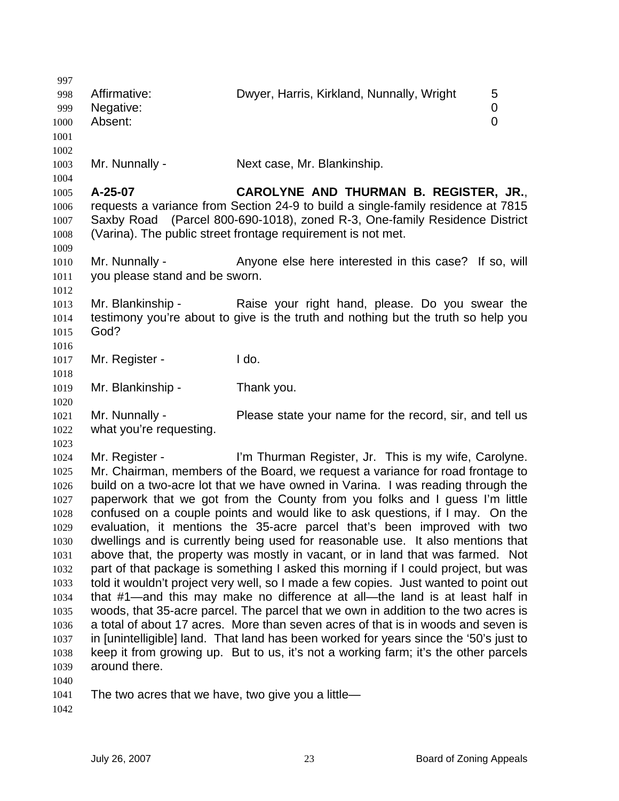| 997          |                                                    |                                                                                                                                                                |        |
|--------------|----------------------------------------------------|----------------------------------------------------------------------------------------------------------------------------------------------------------------|--------|
| 998<br>999   | Affirmative:<br>Negative:                          | Dwyer, Harris, Kirkland, Nunnally, Wright                                                                                                                      | 5<br>0 |
| 1000         | Absent:                                            |                                                                                                                                                                | 0      |
| 1001         |                                                    |                                                                                                                                                                |        |
| 1002         |                                                    |                                                                                                                                                                |        |
| 1003         | Mr. Nunnally -                                     | Next case, Mr. Blankinship.                                                                                                                                    |        |
| 1004         |                                                    |                                                                                                                                                                |        |
| 1005         | A-25-07                                            | CAROLYNE AND THURMAN B. REGISTER, JR.,                                                                                                                         |        |
| 1006<br>1007 |                                                    | requests a variance from Section 24-9 to build a single-family residence at 7815<br>Saxby Road (Parcel 800-690-1018), zoned R-3, One-family Residence District |        |
| 1008         |                                                    | (Varina). The public street frontage requirement is not met.                                                                                                   |        |
| 1009         |                                                    |                                                                                                                                                                |        |
| 1010         | Mr. Nunnally -                                     | Anyone else here interested in this case? If so, will                                                                                                          |        |
| 1011         | you please stand and be sworn.                     |                                                                                                                                                                |        |
| 1012         |                                                    |                                                                                                                                                                |        |
| 1013         | Mr. Blankinship -                                  | Raise your right hand, please. Do you swear the                                                                                                                |        |
| 1014         |                                                    | testimony you're about to give is the truth and nothing but the truth so help you                                                                              |        |
| 1015         | God?                                               |                                                                                                                                                                |        |
| 1016         |                                                    |                                                                                                                                                                |        |
| 1017         | Mr. Register -                                     | I do.                                                                                                                                                          |        |
| 1018         |                                                    |                                                                                                                                                                |        |
| 1019         | Mr. Blankinship -                                  | Thank you.                                                                                                                                                     |        |
| 1020         |                                                    |                                                                                                                                                                |        |
| 1021         | Mr. Nunnally -                                     | Please state your name for the record, sir, and tell us                                                                                                        |        |
| 1022         | what you're requesting.                            |                                                                                                                                                                |        |
| 1023         |                                                    |                                                                                                                                                                |        |
| 1024         | Mr. Register -                                     | I'm Thurman Register, Jr. This is my wife, Carolyne.                                                                                                           |        |
| 1025         |                                                    | Mr. Chairman, members of the Board, we request a variance for road frontage to                                                                                 |        |
| 1026         |                                                    | build on a two-acre lot that we have owned in Varina. I was reading through the                                                                                |        |
| 1027         |                                                    | paperwork that we got from the County from you folks and I guess I'm little                                                                                    |        |
| 1028         |                                                    | confused on a couple points and would like to ask questions, if I may. On the                                                                                  |        |
| 1029         |                                                    | evaluation, it mentions the 35-acre parcel that's been improved with two                                                                                       |        |
| 1030         |                                                    | dwellings and is currently being used for reasonable use. It also mentions that                                                                                |        |
| 1031         |                                                    | above that, the property was mostly in vacant, or in land that was farmed. Not                                                                                 |        |
| 1032         |                                                    | part of that package is something I asked this morning if I could project, but was                                                                             |        |
| 1033         |                                                    | told it wouldn't project very well, so I made a few copies. Just wanted to point out                                                                           |        |
| 1034         |                                                    | that #1—and this may make no difference at all—the land is at least half in                                                                                    |        |
| 1035         |                                                    | woods, that 35-acre parcel. The parcel that we own in addition to the two acres is                                                                             |        |
| 1036         |                                                    | a total of about 17 acres. More than seven acres of that is in woods and seven is                                                                              |        |
| 1037         |                                                    | in [unintelligible] land. That land has been worked for years since the '50's just to                                                                          |        |
| 1038         |                                                    | keep it from growing up. But to us, it's not a working farm; it's the other parcels                                                                            |        |
| 1039         | around there.                                      |                                                                                                                                                                |        |
| 1040         |                                                    |                                                                                                                                                                |        |
| 1041         | The two acres that we have, two give you a little- |                                                                                                                                                                |        |
| 1042         |                                                    |                                                                                                                                                                |        |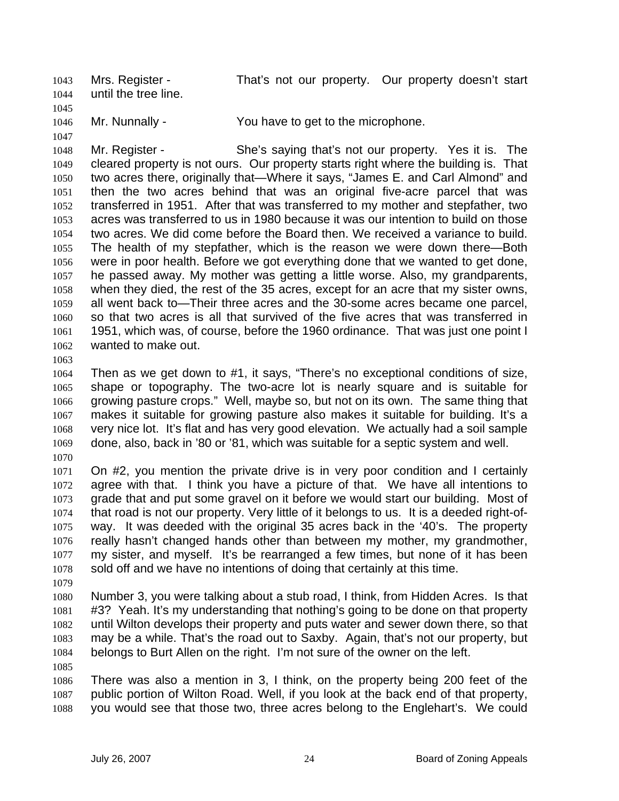Mrs. Register - That's not our property. Our property doesn't start until the tree line. 1043 1044 1045

1046 Mr. Nunnally - You have to get to the microphone.

1048 1049 1050 1051 1052 1053 1054 1055 1056 1057 1058 1059 1060 1061 1062 Mr. Register - She's saying that's not our property. Yes it is. The cleared property is not ours. Our property starts right where the building is. That two acres there, originally that—Where it says, "James E. and Carl Almond" and then the two acres behind that was an original five-acre parcel that was transferred in 1951. After that was transferred to my mother and stepfather, two acres was transferred to us in 1980 because it was our intention to build on those two acres. We did come before the Board then. We received a variance to build. The health of my stepfather, which is the reason we were down there—Both were in poor health. Before we got everything done that we wanted to get done, he passed away. My mother was getting a little worse. Also, my grandparents, when they died, the rest of the 35 acres, except for an acre that my sister owns, all went back to—Their three acres and the 30-some acres became one parcel, so that two acres is all that survived of the five acres that was transferred in 1951, which was, of course, before the 1960 ordinance. That was just one point I wanted to make out.

1063

1047

1064 1065 1066 1067 1068 1069 Then as we get down to #1, it says, "There's no exceptional conditions of size, shape or topography. The two-acre lot is nearly square and is suitable for growing pasture crops." Well, maybe so, but not on its own. The same thing that makes it suitable for growing pasture also makes it suitable for building. It's a very nice lot. It's flat and has very good elevation. We actually had a soil sample done, also, back in '80 or '81, which was suitable for a septic system and well.

1070

1071 1072 1073 1074 1075 1076 1077 1078 On #2, you mention the private drive is in very poor condition and I certainly agree with that. I think you have a picture of that. We have all intentions to grade that and put some gravel on it before we would start our building. Most of that road is not our property. Very little of it belongs to us. It is a deeded right-ofway. It was deeded with the original 35 acres back in the '40's. The property really hasn't changed hands other than between my mother, my grandmother, my sister, and myself. It's be rearranged a few times, but none of it has been sold off and we have no intentions of doing that certainly at this time.

1079

1080 1081 1082 1083 1084 Number 3, you were talking about a stub road, I think, from Hidden Acres. Is that #3? Yeah. It's my understanding that nothing's going to be done on that property until Wilton develops their property and puts water and sewer down there, so that may be a while. That's the road out to Saxby. Again, that's not our property, but belongs to Burt Allen on the right. I'm not sure of the owner on the left.

1085

1086 1087 1088 There was also a mention in 3, I think, on the property being 200 feet of the public portion of Wilton Road. Well, if you look at the back end of that property, you would see that those two, three acres belong to the Englehart's. We could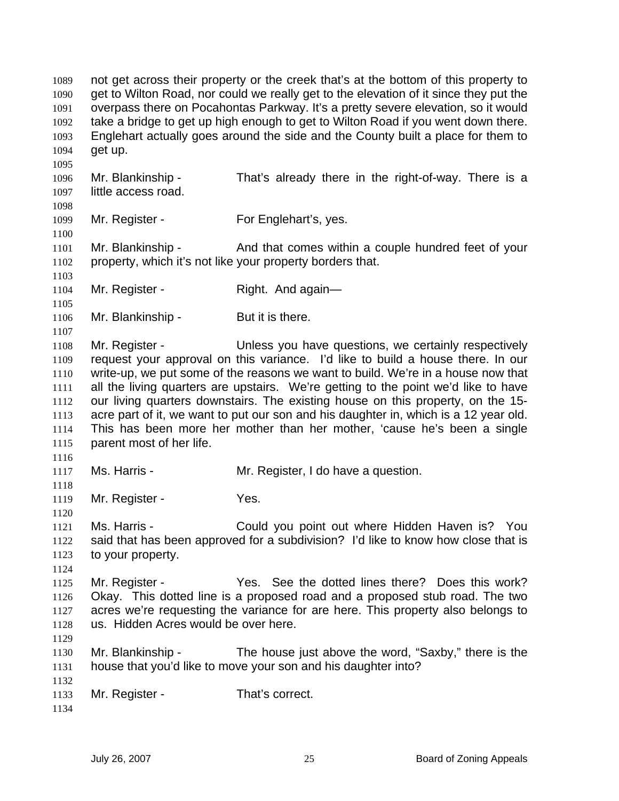not get across their property or the creek that's at the bottom of this property to get to Wilton Road, nor could we really get to the elevation of it since they put the overpass there on Pocahontas Parkway. It's a pretty severe elevation, so it would take a bridge to get up high enough to get to Wilton Road if you went down there. Englehart actually goes around the side and the County built a place for them to get up. 1089 1090 1091 1092 1093 1094 1095 1096 1097 1098 1099 1100 1101 1102 1103 1104 1105 1106 1107 1108 1109 1110 1111 1112 1113 1114 1115 1116 1117 1118 1119 1120 1121 1122 1123 1124 1125 1126 1127 1128 1129 1130 1131 1132 1133 1134 Mr. Blankinship - That's already there in the right-of-way. There is a little access road. Mr. Register - For Englehart's, yes. Mr. Blankinship - And that comes within a couple hundred feet of your property, which it's not like your property borders that. Mr. Register - Right. And again-Mr. Blankinship - But it is there. Mr. Register - Thess you have questions, we certainly respectively request your approval on this variance. I'd like to build a house there. In our write-up, we put some of the reasons we want to build. We're in a house now that all the living quarters are upstairs. We're getting to the point we'd like to have our living quarters downstairs. The existing house on this property, on the 15 acre part of it, we want to put our son and his daughter in, which is a 12 year old. This has been more her mother than her mother, 'cause he's been a single parent most of her life. Ms. Harris - The Mr. Register, I do have a question. Mr. Register - Yes. Ms. Harris - Could you point out where Hidden Haven is? You said that has been approved for a subdivision? I'd like to know how close that is to your property. Mr. Register - Yes. See the dotted lines there? Does this work? Okay. This dotted line is a proposed road and a proposed stub road. The two acres we're requesting the variance for are here. This property also belongs to us. Hidden Acres would be over here. Mr. Blankinship - The house just above the word, "Saxby," there is the house that you'd like to move your son and his daughter into? Mr. Register - That's correct.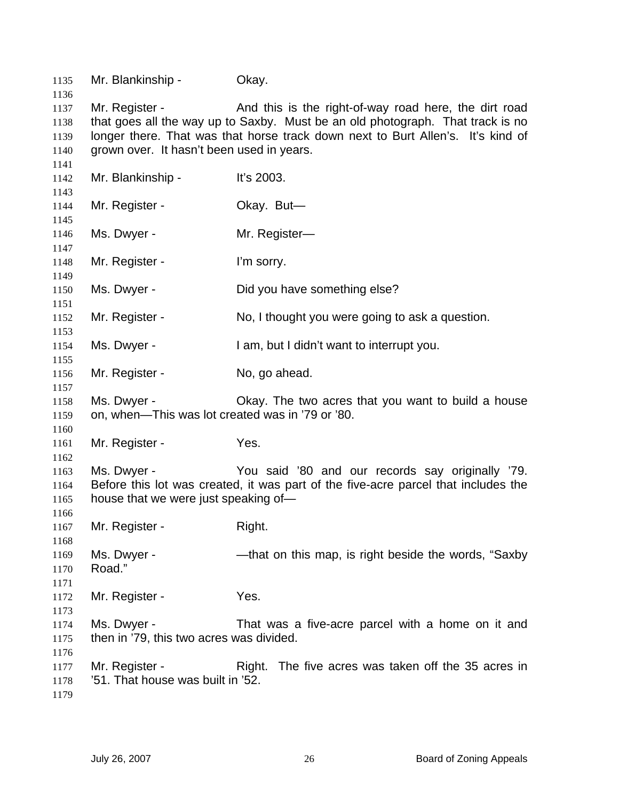| 1135         | Mr. Blankinship -                                   | Okay.                                                                                                                                  |
|--------------|-----------------------------------------------------|----------------------------------------------------------------------------------------------------------------------------------------|
| 1136<br>1137 | Mr. Register -                                      | And this is the right-of-way road here, the dirt road                                                                                  |
| 1138         |                                                     | that goes all the way up to Saxby. Must be an old photograph. That track is no                                                         |
| 1139         |                                                     | longer there. That was that horse track down next to Burt Allen's. It's kind of                                                        |
| 1140         | grown over. It hasn't been used in years.           |                                                                                                                                        |
| 1141         |                                                     |                                                                                                                                        |
| 1142         | Mr. Blankinship -                                   | It's 2003.                                                                                                                             |
| 1143         |                                                     |                                                                                                                                        |
| 1144         | Mr. Register -                                      | Okay. But-                                                                                                                             |
| 1145         |                                                     |                                                                                                                                        |
| 1146         | Ms. Dwyer -                                         | Mr. Register-                                                                                                                          |
| 1147         |                                                     |                                                                                                                                        |
| 1148         | Mr. Register -                                      | I'm sorry.                                                                                                                             |
| 1149         | Ms. Dwyer -                                         | Did you have something else?                                                                                                           |
| 1150<br>1151 |                                                     |                                                                                                                                        |
| 1152         | Mr. Register -                                      | No, I thought you were going to ask a question.                                                                                        |
| 1153         |                                                     |                                                                                                                                        |
| 1154         | Ms. Dwyer -                                         | I am, but I didn't want to interrupt you.                                                                                              |
| 1155         |                                                     |                                                                                                                                        |
| 1156         | Mr. Register -                                      | No, go ahead.                                                                                                                          |
| 1157         |                                                     |                                                                                                                                        |
| 1158         | Ms. Dwyer -                                         | Okay. The two acres that you want to build a house                                                                                     |
| 1159         | on, when—This was lot created was in '79 or '80.    |                                                                                                                                        |
| 1160         |                                                     |                                                                                                                                        |
| 1161         | Mr. Register -                                      | Yes.                                                                                                                                   |
| 1162         |                                                     |                                                                                                                                        |
| 1163<br>1164 | Ms. Dwyer -                                         | You said '80 and our records say originally '79.<br>Before this lot was created, it was part of the five-acre parcel that includes the |
| 1165         | house that we were just speaking of-                |                                                                                                                                        |
| 1166         |                                                     |                                                                                                                                        |
| 1167         | Mr. Register -                                      | Right.                                                                                                                                 |
| 1168         |                                                     |                                                                                                                                        |
| 1169         | Ms. Dwyer -                                         | -that on this map, is right beside the words, "Saxby"                                                                                  |
| 1170         | Road."                                              |                                                                                                                                        |
| 1171         |                                                     |                                                                                                                                        |
| 1172         | Mr. Register -                                      | Yes.                                                                                                                                   |
| 1173         |                                                     |                                                                                                                                        |
| 1174         | Ms. Dwyer -                                         | That was a five-acre parcel with a home on it and                                                                                      |
| 1175         | then in '79, this two acres was divided.            |                                                                                                                                        |
| 1176         |                                                     |                                                                                                                                        |
| 1177         | Mr. Register -<br>'51. That house was built in '52. | Right. The five acres was taken off the 35 acres in                                                                                    |
| 1178<br>1179 |                                                     |                                                                                                                                        |
|              |                                                     |                                                                                                                                        |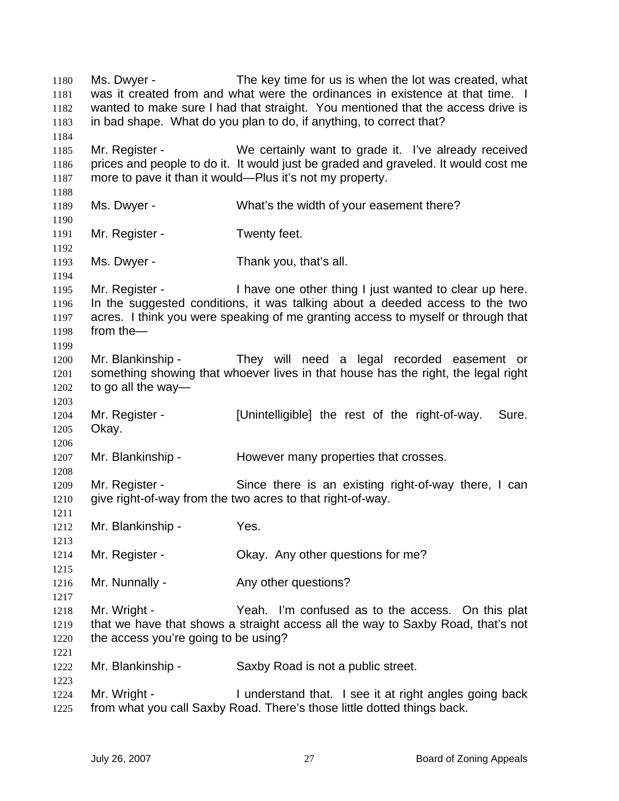Ms. Dwyer - The key time for us is when the lot was created, what was it created from and what were the ordinances in existence at that time. I wanted to make sure I had that straight. You mentioned that the access drive is in bad shape. What do you plan to do, if anything, to correct that? 1180 1181 1182 1183 1184 1185 1186 1187 1188 1189 1190 1191 1192 1193 1194 1195 1196 1197 1198 1199 1200 1201 1202 1203 1204 1205 1206 1207 1208 1209 1210 1211 1212 1213 1214 1215 1216 1217 1218 1219 1220 1221 1222 1223 1224 1225 Mr. Register - We certainly want to grade it. I've already received prices and people to do it. It would just be graded and graveled. It would cost me more to pave it than it would—Plus it's not my property. Ms. Dwyer - What's the width of your easement there? Mr. Register - Twenty feet. Ms. Dwyer - Thank you, that's all. Mr. Register - I have one other thing I just wanted to clear up here. In the suggested conditions, it was talking about a deeded access to the two acres. I think you were speaking of me granting access to myself or through that from the— Mr. Blankinship - They will need a legal recorded easement or something showing that whoever lives in that house has the right, the legal right to go all the way— Mr. Register - [Unintelligible] the rest of the right-of-way. Sure. Okay. Mr. Blankinship - However many properties that crosses. Mr. Register - Since there is an existing right-of-way there, I can give right-of-way from the two acres to that right-of-way. Mr. Blankinship - Yes. Mr. Register - Ckay. Any other questions for me? Mr. Nunnally - Any other questions? Mr. Wright - Yeah. I'm confused as to the access. On this plat that we have that shows a straight access all the way to Saxby Road, that's not the access you're going to be using? Mr. Blankinship - Saxby Road is not a public street. Mr. Wright - I understand that. I see it at right angles going back from what you call Saxby Road. There's those little dotted things back.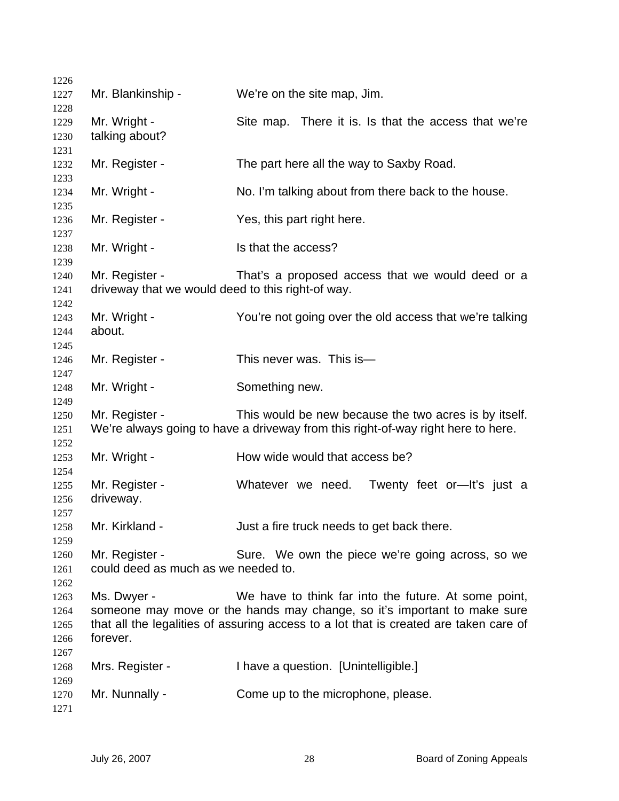| 1226         |                                                   |                                                                                       |
|--------------|---------------------------------------------------|---------------------------------------------------------------------------------------|
| 1227         | Mr. Blankinship -                                 | We're on the site map, Jim.                                                           |
| 1228         |                                                   |                                                                                       |
| 1229         | Mr. Wright -<br>talking about?                    | Site map. There it is. Is that the access that we're                                  |
| 1230<br>1231 |                                                   |                                                                                       |
| 1232         | Mr. Register -                                    | The part here all the way to Saxby Road.                                              |
| 1233         |                                                   |                                                                                       |
| 1234<br>1235 | Mr. Wright -                                      | No. I'm talking about from there back to the house.                                   |
| 1236         | Mr. Register -                                    | Yes, this part right here.                                                            |
| 1237<br>1238 | Mr. Wright -                                      | Is that the access?                                                                   |
| 1239         | Mr. Register -                                    |                                                                                       |
| 1240<br>1241 | driveway that we would deed to this right-of way. | That's a proposed access that we would deed or a                                      |
| 1242         |                                                   |                                                                                       |
| 1243         | Mr. Wright -                                      | You're not going over the old access that we're talking                               |
| 1244         | about.                                            |                                                                                       |
| 1245         |                                                   |                                                                                       |
| 1246         | Mr. Register -                                    | This never was. This is-                                                              |
| 1247         |                                                   |                                                                                       |
| 1248         | Mr. Wright -                                      | Something new.                                                                        |
| 1249         |                                                   |                                                                                       |
| 1250         | Mr. Register -                                    | This would be new because the two acres is by itself.                                 |
| 1251         |                                                   | We're always going to have a driveway from this right-of-way right here to here.      |
| 1252         |                                                   |                                                                                       |
| 1253         | Mr. Wright -                                      | How wide would that access be?                                                        |
| 1254         |                                                   |                                                                                       |
| 1255         | Mr. Register -                                    | Whatever we need.<br>Twenty feet or-lt's just a                                       |
| 1256         | driveway.                                         |                                                                                       |
| 1257         |                                                   |                                                                                       |
| 1258         | Mr. Kirkland -                                    | Just a fire truck needs to get back there.                                            |
| 1259         |                                                   |                                                                                       |
| 1260         | Mr. Register -                                    | Sure. We own the piece we're going across, so we                                      |
| 1261         | could deed as much as we needed to.               |                                                                                       |
| 1262         |                                                   |                                                                                       |
| 1263         | Ms. Dwyer -                                       | We have to think far into the future. At some point,                                  |
| 1264         |                                                   | someone may move or the hands may change, so it's important to make sure              |
| 1265         |                                                   | that all the legalities of assuring access to a lot that is created are taken care of |
| 1266         | forever.                                          |                                                                                       |
| 1267<br>1268 | Mrs. Register -                                   | I have a question. [Unintelligible.]                                                  |
| 1269         |                                                   |                                                                                       |
| 1270         | Mr. Nunnally -                                    | Come up to the microphone, please.                                                    |
| 1271         |                                                   |                                                                                       |
|              |                                                   |                                                                                       |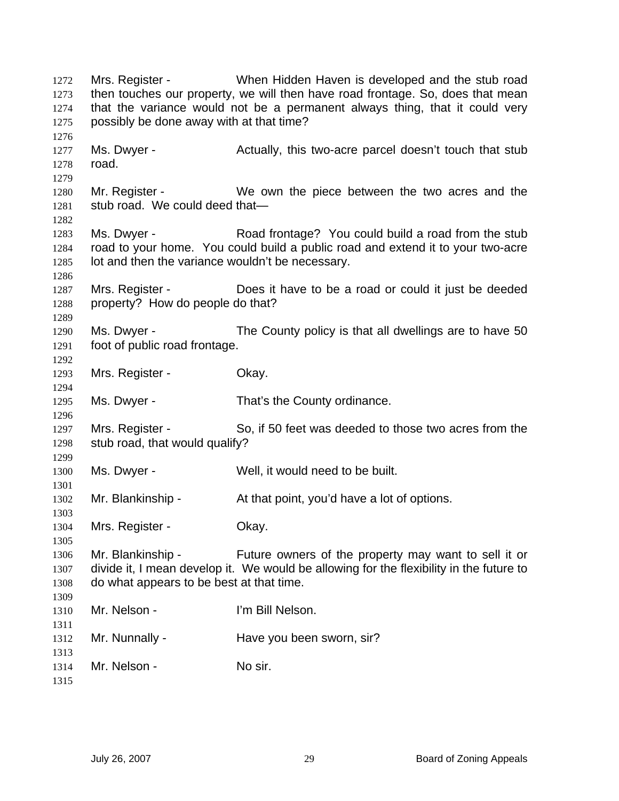Mrs. Register - When Hidden Haven is developed and the stub road then touches our property, we will then have road frontage. So, does that mean that the variance would not be a permanent always thing, that it could very possibly be done away with at that time? Ms. Dwyer - **Actually, this two-acre** parcel doesn't touch that stub road. Mr. Register - We own the piece between the two acres and the stub road. We could deed that— Ms. Dwyer - Road frontage? You could build a road from the stub road to your home. You could build a public road and extend it to your two-acre lot and then the variance wouldn't be necessary. Mrs. Register - Does it have to be a road or could it just be deeded property? How do people do that? Ms. Dwyer - The County policy is that all dwellings are to have 50 foot of public road frontage. Mrs. Register - Ckay. Ms. Dwyer - That's the County ordinance. Mrs. Register - So, if 50 feet was deeded to those two acres from the stub road, that would qualify? Ms. Dwyer - Well, it would need to be built. Mr. Blankinship - At that point, you'd have a lot of options. Mrs. Register - Chay. Mr. Blankinship - Future owners of the property may want to sell it or divide it, I mean develop it. We would be allowing for the flexibility in the future to do what appears to be best at that time. Mr. Nelson - I'm Bill Nelson. Mr. Nunnally - Figure 1 Have you been sworn, sir? Mr. Nelson - No sir.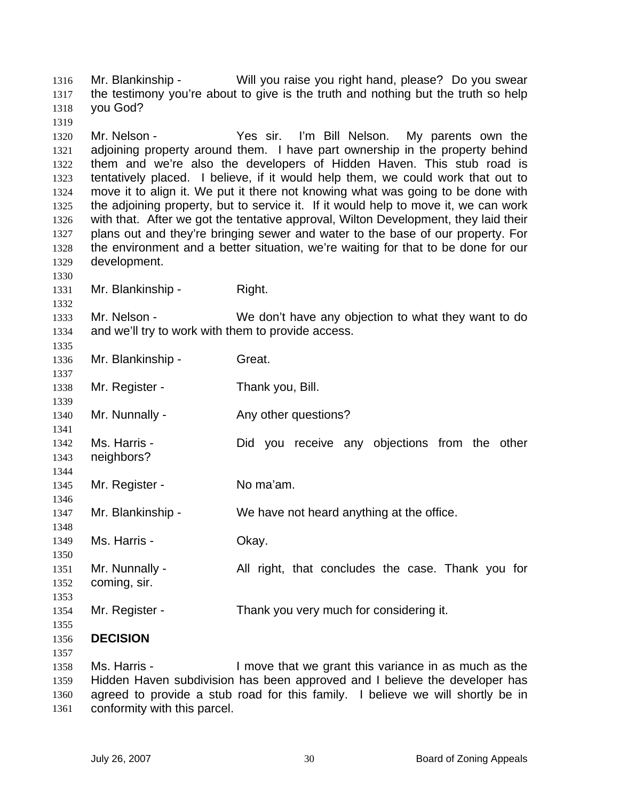Mr. Blankinship - Will you raise you right hand, please? Do you swear the testimony you're about to give is the truth and nothing but the truth so help you God? 1316 1317 1318 1319 1320 1321 1322 1323 1324 1325 1326 1327 1328 1329 1330 1331 1332 1333 1334 1335 1336 1337 1338 1339 1340 1341 1342 1343 1344 1345 1346 1347 1348 1349 1350 1351 1352 1353 1354 1355 1356 1357 1358 1359 1360 Mr. Nelson - Yes sir. I'm Bill Nelson. My parents own the adjoining property around them. I have part ownership in the property behind them and we're also the developers of Hidden Haven. This stub road is tentatively placed. I believe, if it would help them, we could work that out to move it to align it. We put it there not knowing what was going to be done with the adjoining property, but to service it. If it would help to move it, we can work with that. After we got the tentative approval, Wilton Development, they laid their plans out and they're bringing sewer and water to the base of our property. For the environment and a better situation, we're waiting for that to be done for our development. Mr. Blankinship - Right. Mr. Nelson - We don't have any objection to what they want to do and we'll try to work with them to provide access. Mr. Blankinship - Great. Mr. Register - Thank you, Bill. Mr. Nunnally - Any other questions? Ms. Harris - The Did you receive any objections from the other neighbors? Mr. Register - No ma'am. Mr. Blankinship - We have not heard anything at the office. Ms. Harris - Chay. Mr. Nunnally - All right, that concludes the case. Thank you for coming, sir. Mr. Register - Thank you very much for considering it. **DECISION**  Ms. Harris - I move that we grant this variance in as much as the Hidden Haven subdivision has been approved and I believe the developer has agreed to provide a stub road for this family. I believe we will shortly be in

1361 conformity with this parcel.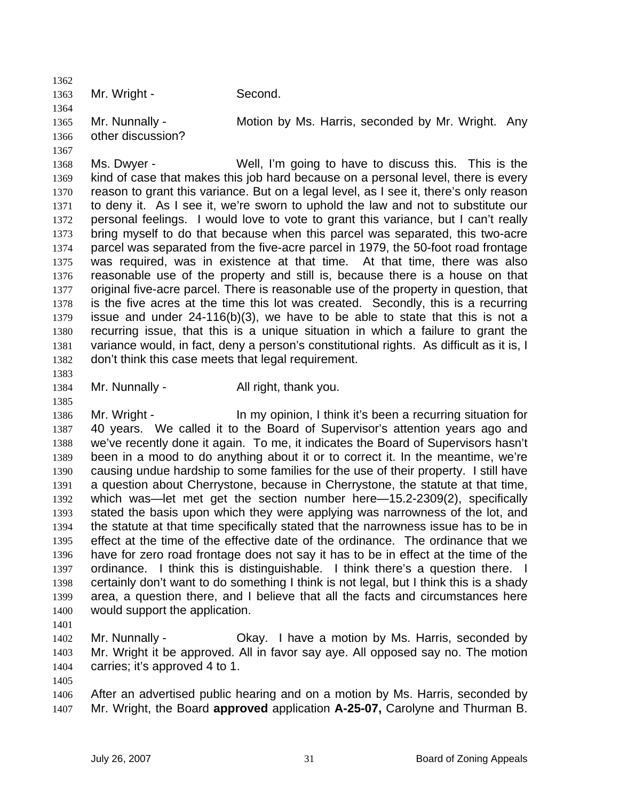1362 1363 1364 1365 1366 1367 1368 1369 1370 1371 1372 1373 1374 1375 1376 1377 1378 1379 1380 1381 1382 1383 1384 1385 1386 1387 1388 1389 1390 1391 1392 1393 1394 1395 1396 1397 1398 1399 1400 1401 1402 1403 1404 1405 Mr. Wright - Second. Mr. Nunnally - **Motion by Ms. Harris, seconded by Mr. Wright.** Any other discussion? Ms. Dwyer - Well, I'm going to have to discuss this. This is the kind of case that makes this job hard because on a personal level, there is every reason to grant this variance. But on a legal level, as I see it, there's only reason to deny it. As I see it, we're sworn to uphold the law and not to substitute our personal feelings. I would love to vote to grant this variance, but I can't really bring myself to do that because when this parcel was separated, this two-acre parcel was separated from the five-acre parcel in 1979, the 50-foot road frontage was required, was in existence at that time. At that time, there was also reasonable use of the property and still is, because there is a house on that original five-acre parcel. There is reasonable use of the property in question, that is the five acres at the time this lot was created. Secondly, this is a recurring issue and under 24-116(b)(3), we have to be able to state that this is not a recurring issue, that this is a unique situation in which a failure to grant the variance would, in fact, deny a person's constitutional rights. As difficult as it is, I don't think this case meets that legal requirement. Mr. Nunnally - All right, thank you. Mr. Wright - In my opinion, I think it's been a recurring situation for 40 years. We called it to the Board of Supervisor's attention years ago and we've recently done it again. To me, it indicates the Board of Supervisors hasn't been in a mood to do anything about it or to correct it. In the meantime, we're causing undue hardship to some families for the use of their property. I still have a question about Cherrystone, because in Cherrystone, the statute at that time, which was—let met get the section number here—15.2-2309(2), specifically stated the basis upon which they were applying was narrowness of the lot, and the statute at that time specifically stated that the narrowness issue has to be in effect at the time of the effective date of the ordinance. The ordinance that we have for zero road frontage does not say it has to be in effect at the time of the ordinance. I think this is distinguishable. I think there's a question there. I certainly don't want to do something I think is not legal, but I think this is a shady area, a question there, and I believe that all the facts and circumstances here would support the application. Mr. Nunnally - Okay. I have a motion by Ms. Harris, seconded by Mr. Wright it be approved. All in favor say aye. All opposed say no. The motion carries; it's approved 4 to 1.

1406 1407 After an advertised public hearing and on a motion by Ms. Harris, seconded by Mr. Wright, the Board **approved** application **A-25-07,** Carolyne and Thurman B.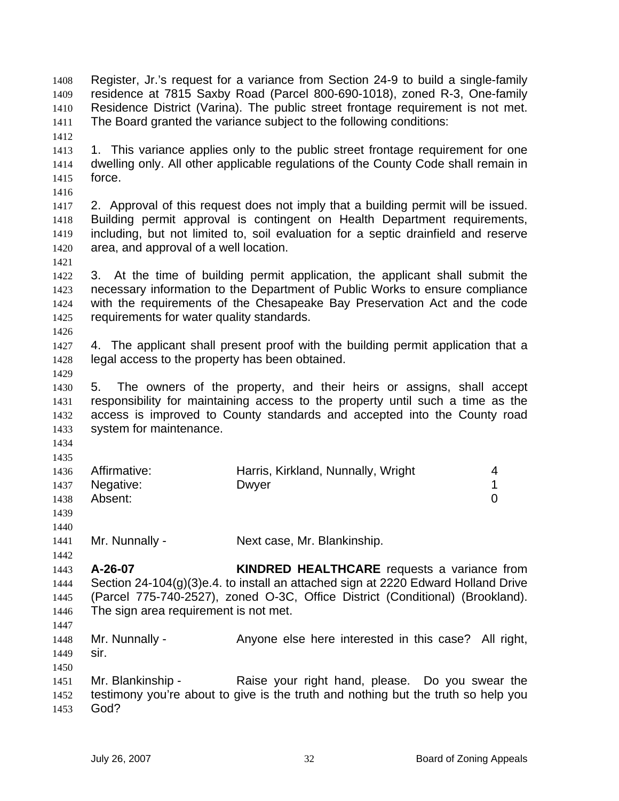Register, Jr.'s request for a variance from Section 24-9 to build a single-family residence at 7815 Saxby Road (Parcel 800-690-1018), zoned R-3, One-family Residence District (Varina). The public street frontage requirement is not met. The Board granted the variance subject to the following conditions: 1408 1409 1410 1411 1412 1413 1414 1415 1416 1417 1418 1419 1420 1421 1422 1423 1424 1425 1426 1427 1428 1429 1430 1431 1432 1433 1434 1435 1436 1437 1438 1439 1440 1441 1442 1443 1444 1445 1446 1447 1448 1449 1450 1451 1452 1453 1. This variance applies only to the public street frontage requirement for one dwelling only. All other applicable regulations of the County Code shall remain in force. 2. Approval of this request does not imply that a building permit will be issued. Building permit approval is contingent on Health Department requirements, including, but not limited to, soil evaluation for a septic drainfield and reserve area, and approval of a well location. 3. At the time of building permit application, the applicant shall submit the necessary information to the Department of Public Works to ensure compliance with the requirements of the Chesapeake Bay Preservation Act and the code requirements for water quality standards. 4. The applicant shall present proof with the building permit application that a legal access to the property has been obtained. 5. The owners of the property, and their heirs or assigns, shall accept responsibility for maintaining access to the property until such a time as the access is improved to County standards and accepted into the County road system for maintenance. Affirmative: **Harris, Kirkland, Nunnally, Wright** 4 Negative: Dwyer 2008 Dwyer 2009 Absent: 0 Mr. Nunnally - Next case, Mr. Blankinship. **A-26-07 KINDRED HEALTHCARE** requests a variance from Section 24-104(g)(3)e.4. to install an attached sign at 2220 Edward Holland Drive (Parcel 775-740-2527), zoned O-3C, Office District (Conditional) (Brookland). The sign area requirement is not met. Mr. Nunnally - Anyone else here interested in this case? All right, sir. Mr. Blankinship - Raise your right hand, please. Do you swear the testimony you're about to give is the truth and nothing but the truth so help you God?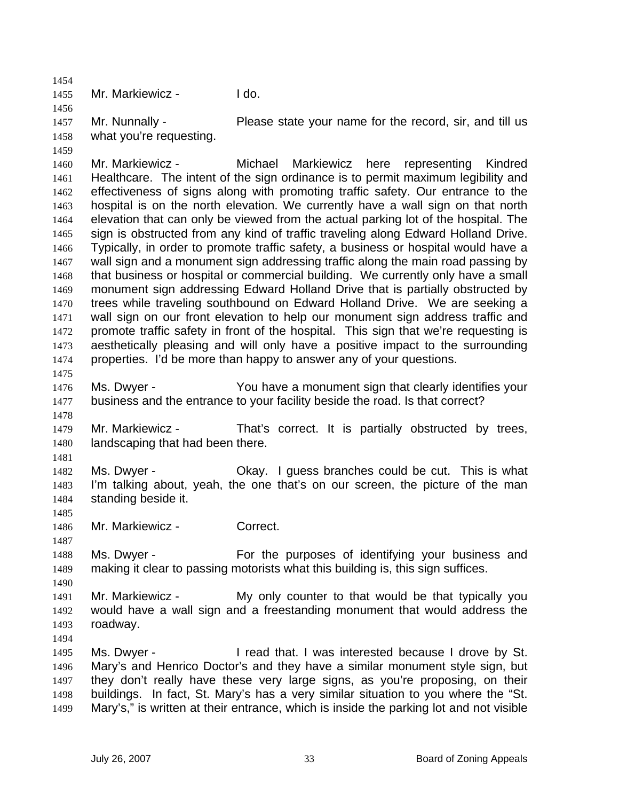1455 Mr. Markiewicz - I do.

1457 1458 Mr. Nunnally - **Please state your name for the record, sir, and till us** what you're requesting.

- 1460 1461 1462 1463 1464 1465 1466 1467 1468 1469 1470 1471 1472 1473 1474 1475 Mr. Markiewicz - Michael Markiewicz here representing Kindred Healthcare. The intent of the sign ordinance is to permit maximum legibility and effectiveness of signs along with promoting traffic safety. Our entrance to the hospital is on the north elevation. We currently have a wall sign on that north elevation that can only be viewed from the actual parking lot of the hospital. The sign is obstructed from any kind of traffic traveling along Edward Holland Drive. Typically, in order to promote traffic safety, a business or hospital would have a wall sign and a monument sign addressing traffic along the main road passing by that business or hospital or commercial building. We currently only have a small monument sign addressing Edward Holland Drive that is partially obstructed by trees while traveling southbound on Edward Holland Drive. We are seeking a wall sign on our front elevation to help our monument sign address traffic and promote traffic safety in front of the hospital. This sign that we're requesting is aesthetically pleasing and will only have a positive impact to the surrounding properties. I'd be more than happy to answer any of your questions.
- 1476 1477 Ms. Dwyer - You have a monument sign that clearly identifies your business and the entrance to your facility beside the road. Is that correct?
- 1479 1480 Mr. Markiewicz - That's correct. It is partially obstructed by trees, landscaping that had been there.
- 1481

1485

1487

1490

1494

1478

1454

1456

1459

- 1482 1483 1484 Ms. Dwyer - Okay. I guess branches could be cut. This is what I'm talking about, yeah, the one that's on our screen, the picture of the man standing beside it.
- 1486 Mr. Markiewicz - Correct.
- 1488 1489 Ms. Dwyer - For the purposes of identifying your business and making it clear to passing motorists what this building is, this sign suffices.
- 1491 1492 1493 Mr. Markiewicz - My only counter to that would be that typically you would have a wall sign and a freestanding monument that would address the roadway.
- 1495 1496 1497 1498 1499 Ms. Dwyer - I read that. I was interested because I drove by St. Mary's and Henrico Doctor's and they have a similar monument style sign, but they don't really have these very large signs, as you're proposing, on their buildings. In fact, St. Mary's has a very similar situation to you where the "St. Mary's," is written at their entrance, which is inside the parking lot and not visible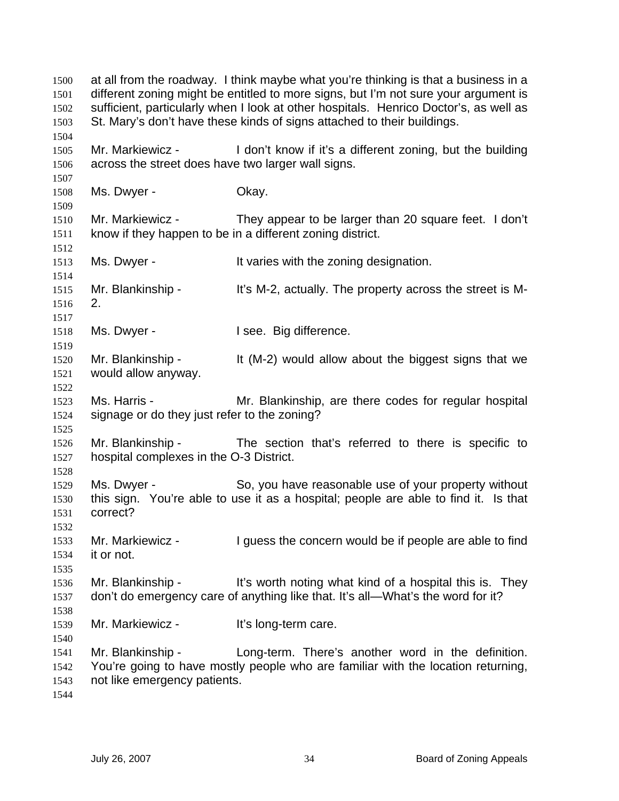at all from the roadway. I think maybe what you're thinking is that a business in a different zoning might be entitled to more signs, but I'm not sure your argument is sufficient, particularly when I look at other hospitals. Henrico Doctor's, as well as St. Mary's don't have these kinds of signs attached to their buildings. 1500 1501 1502 1503 1504 1505 1506 1507 1508 1509 1510 1511 1512 1513 1514 1515 1516 1517 1518 1519 1520 1521 1522 1523 1524 1525 1526 1527 1528 1529 1530 1531 1532 1533 1534 1535 1536 1537 1538 1539 1540 1541 1542 1543 1544 Mr. Markiewicz - I don't know if it's a different zoning, but the building across the street does have two larger wall signs. Ms. Dwyer - Chay. Mr. Markiewicz - They appear to be larger than 20 square feet. I don't know if they happen to be in a different zoning district. Ms. Dwyer - The Music of the varies with the zoning designation. Mr. Blankinship - It's M-2, actually. The property across the street is M-2. Ms. Dwyer - The Rig difference. Mr. Blankinship - It (M-2) would allow about the biggest signs that we would allow anyway. Ms. Harris - The Mr. Blankinship, are there codes for regular hospital signage or do they just refer to the zoning? Mr. Blankinship - The section that's referred to there is specific to hospital complexes in the O-3 District. Ms. Dwyer - So, you have reasonable use of your property without this sign. You're able to use it as a hospital; people are able to find it. Is that correct? Mr. Markiewicz - I guess the concern would be if people are able to find it or not. Mr. Blankinship - It's worth noting what kind of a hospital this is. They don't do emergency care of anything like that. It's all—What's the word for it? Mr. Markiewicz - It's long-term care. Mr. Blankinship - Long-term. There's another word in the definition. You're going to have mostly people who are familiar with the location returning, not like emergency patients.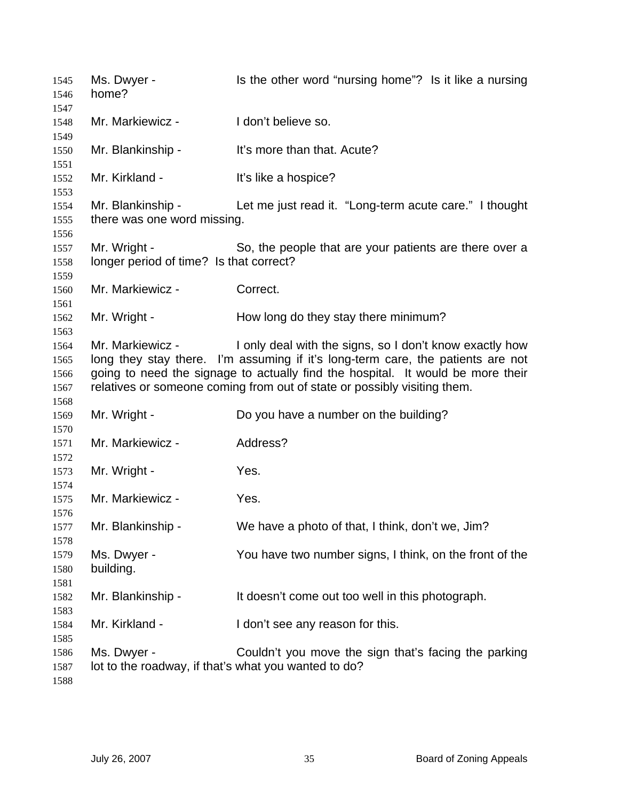Ms. Dwyer - Is the other word "nursing home"? Is it like a nursing home? Mr. Markiewicz - The Unit believe so. Mr. Blankinship - It's more than that. Acute? Mr. Kirkland - It's like a hospice? Mr. Blankinship - Let me just read it. "Long-term acute care." I thought there was one word missing. Mr. Wright - So, the people that are your patients are there over a longer period of time? Is that correct? Mr. Markiewicz - Correct. Mr. Wright - How long do they stay there minimum? Mr. Markiewicz - I only deal with the signs, so I don't know exactly how long they stay there. I'm assuming if it's long-term care, the patients are not going to need the signage to actually find the hospital. It would be more their relatives or someone coming from out of state or possibly visiting them. Mr. Wright - Do you have a number on the building? Mr. Markiewicz - Address? Mr. Wright - Yes. Mr. Markiewicz - Yes. Mr. Blankinship - We have a photo of that, I think, don't we, Jim? Ms. Dwyer - You have two number signs, I think, on the front of the building. Mr. Blankinship - It doesn't come out too well in this photograph. Mr. Kirkland - The I don't see any reason for this. Ms. Dwyer - Couldn't you move the sign that's facing the parking lot to the roadway, if that's what you wanted to do?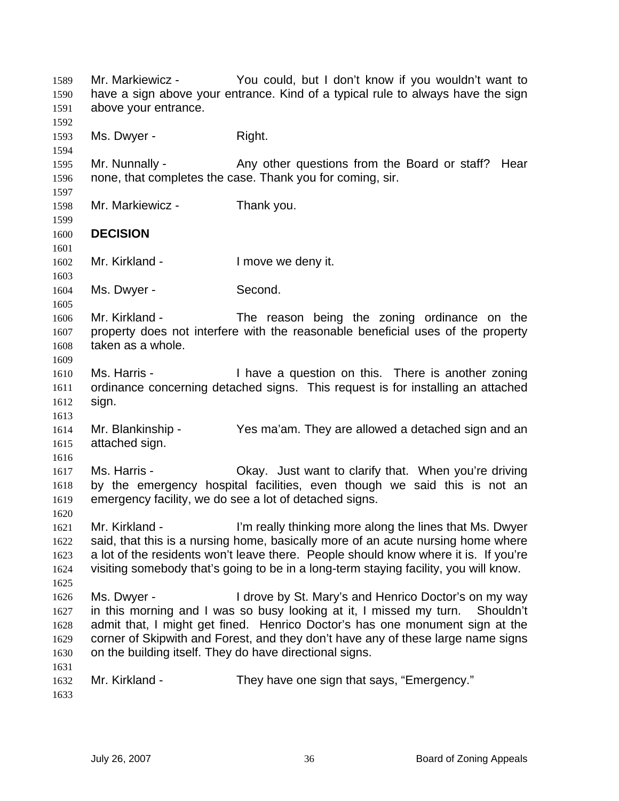Mr. Markiewicz - You could, but I don't know if you wouldn't want to have a sign above your entrance. Kind of a typical rule to always have the sign above your entrance. 1589 1590 1591 1592 1593 1594 1595 1596 1597 1598 1599 1600 1601 1602 1603 1604 1605 1606 1607 1608 1609 1610 1611 1612 1613 1614 1615 1616 1617 1618 1619 1620 1621 1622 1623 1624 1625 1626 1627 1628 1629 1630 1631 1632 1633 Ms. Dwyer - Right. Mr. Nunnally - Any other questions from the Board or staff? Hear none, that completes the case. Thank you for coming, sir. Mr. Markiewicz - Thank you. **DECISION**  Mr. Kirkland - The University of the Imove we deny it. Ms. Dwyer - Second. Mr. Kirkland - The reason being the zoning ordinance on the property does not interfere with the reasonable beneficial uses of the property taken as a whole. Ms. Harris - Thave a question on this. There is another zoning ordinance concerning detached signs. This request is for installing an attached sign. Mr. Blankinship - Yes ma'am. They are allowed a detached sign and an attached sign. Ms. Harris - Chay. Just want to clarify that. When you're driving by the emergency hospital facilities, even though we said this is not an emergency facility, we do see a lot of detached signs. Mr. Kirkland - I'm really thinking more along the lines that Ms. Dwyer said, that this is a nursing home, basically more of an acute nursing home where a lot of the residents won't leave there. People should know where it is. If you're visiting somebody that's going to be in a long-term staying facility, you will know. Ms. Dwyer - I drove by St. Mary's and Henrico Doctor's on my way in this morning and I was so busy looking at it, I missed my turn. Shouldn't admit that, I might get fined. Henrico Doctor's has one monument sign at the corner of Skipwith and Forest, and they don't have any of these large name signs on the building itself. They do have directional signs. Mr. Kirkland - They have one sign that says, "Emergency."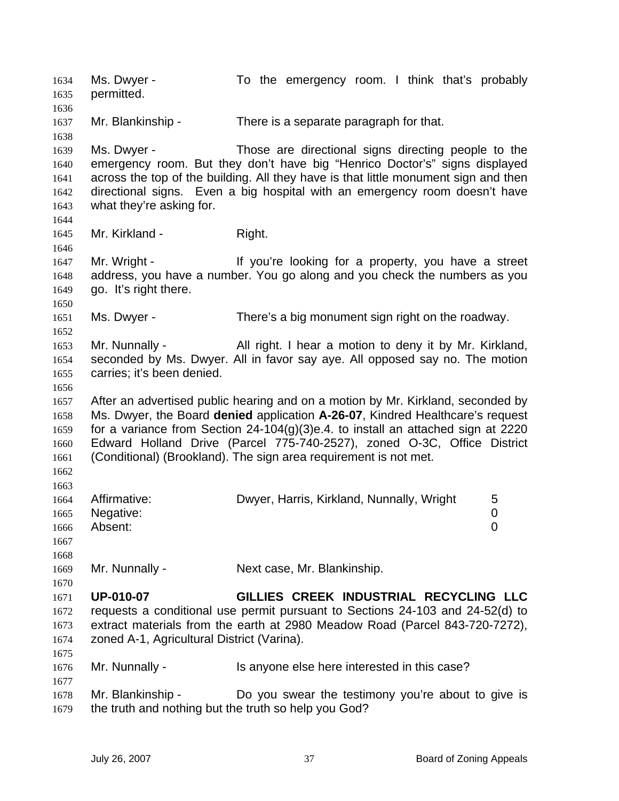Ms. Dwyer - To the emergency room. I think that's probably permitted. 1634 1635 1636 1637 1638 1639 1640 1641 1642 1643 1644 1645 1646 1647 1648 1649 1650 1651 1652 1653 1654 1655 1656 1657 1658 1659 1660 1661 1662 1663 1664 1665 1666 1667 1668 1669 1670 1671 1672 1673 1674 1675 1676 1677 1678 1679 Mr. Blankinship - There is a separate paragraph for that. Ms. Dwyer - Those are directional signs directing people to the emergency room. But they don't have big "Henrico Doctor's" signs displayed across the top of the building. All they have is that little monument sign and then directional signs. Even a big hospital with an emergency room doesn't have what they're asking for. Mr. Kirkland - Right. Mr. Wright - If you're looking for a property, you have a street address, you have a number. You go along and you check the numbers as you go. It's right there. Ms. Dwyer - There's a big monument sign right on the roadway. Mr. Nunnally - All right. I hear a motion to deny it by Mr. Kirkland, seconded by Ms. Dwyer. All in favor say aye. All opposed say no. The motion carries; it's been denied. After an advertised public hearing and on a motion by Mr. Kirkland, seconded by Ms. Dwyer, the Board **denied** application **A-26-07**, Kindred Healthcare's request for a variance from Section 24-104(g)(3)e.4. to install an attached sign at 2220 Edward Holland Drive (Parcel 775-740-2527), zoned O-3C, Office District (Conditional) (Brookland). The sign area requirement is not met. Affirmative: Charlowyer, Harris, Kirkland, Nunnally, Wright 5 Negative: 0 Absent: 0 Mr. Nunnally - Next case, Mr. Blankinship. **UP-010-07 GILLIES CREEK INDUSTRIAL RECYCLING LLC** requests a conditional use permit pursuant to Sections 24-103 and 24-52(d) to extract materials from the earth at 2980 Meadow Road (Parcel 843-720-7272), zoned A-1, Agricultural District (Varina). Mr. Nunnally - Is anyone else here interested in this case? Mr. Blankinship - Do you swear the testimony you're about to give is the truth and nothing but the truth so help you God?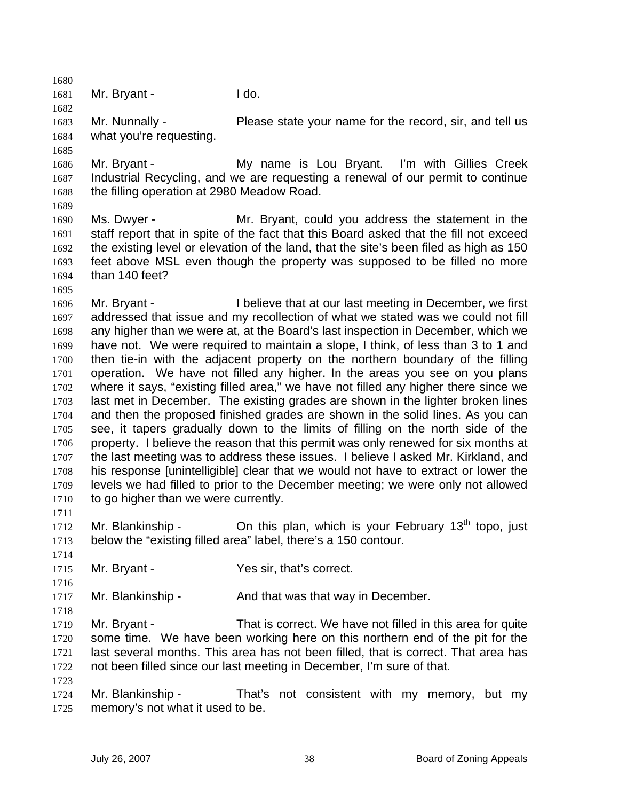1682 1683 1684 1685 Mr. Nunnally - Please state your name for the record, sir, and tell us what you're requesting.

1686 1687 1688 Mr. Bryant - My name is Lou Bryant. I'm with Gillies Creek Industrial Recycling, and we are requesting a renewal of our permit to continue the filling operation at 2980 Meadow Road.

1689

1695

1680 1681

Mr. Bryant - I do.

1690 1691 1692 1693 1694 Ms. Dwyer - Mr. Bryant, could you address the statement in the staff report that in spite of the fact that this Board asked that the fill not exceed the existing level or elevation of the land, that the site's been filed as high as 150 feet above MSL even though the property was supposed to be filled no more than 140 feet?

1696 1697 1698 1699 1700 1701 1702 1703 1704 1705 1706 1707 1708 1709 1710 Mr. Bryant - I believe that at our last meeting in December, we first addressed that issue and my recollection of what we stated was we could not fill any higher than we were at, at the Board's last inspection in December, which we have not. We were required to maintain a slope, I think, of less than 3 to 1 and then tie-in with the adjacent property on the northern boundary of the filling operation. We have not filled any higher. In the areas you see on you plans where it says, "existing filled area," we have not filled any higher there since we last met in December. The existing grades are shown in the lighter broken lines and then the proposed finished grades are shown in the solid lines. As you can see, it tapers gradually down to the limits of filling on the north side of the property. I believe the reason that this permit was only renewed for six months at the last meeting was to address these issues. I believe I asked Mr. Kirkland, and his response [unintelligible] clear that we would not have to extract or lower the levels we had filled to prior to the December meeting; we were only not allowed to go higher than we were currently.

1712 1713 Mr. Blankinship - Chitis plan, which is your February  $13<sup>th</sup>$  topo, just below the "existing filled area" label, there's a 150 contour.

1714

1716

1718

1723

1711

1715 Mr. Bryant - Yes sir, that's correct.

1717 Mr. Blankinship - The And that was that way in December.

1719 1720 1721 1722 Mr. Bryant - That is correct. We have not filled in this area for quite some time. We have been working here on this northern end of the pit for the last several months. This area has not been filled, that is correct. That area has not been filled since our last meeting in December, I'm sure of that.

1724 1725 Mr. Blankinship - That's not consistent with my memory, but my memory's not what it used to be.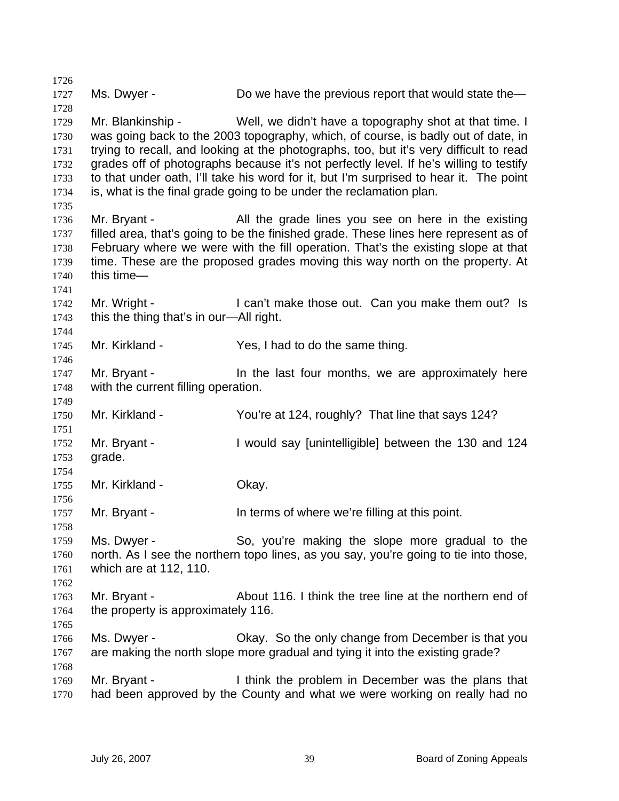1726 1727 1728 1729 1730 1731 1732 1733 1734 1735 1736 1737 1738 1739 1740 1741 1742 1743 1744 1745 1746 1747 1748 1749 1750 1751 1752 1753 1754 1755 1756 1757 1758 1759 1760 1761 1762 1763 1764 1765 1766 1767 1768 1769 1770 Ms. Dwyer - Do we have the previous report that would state the-Mr. Blankinship - Well, we didn't have a topography shot at that time. I was going back to the 2003 topography, which, of course, is badly out of date, in trying to recall, and looking at the photographs, too, but it's very difficult to read grades off of photographs because it's not perfectly level. If he's willing to testify to that under oath, I'll take his word for it, but I'm surprised to hear it. The point is, what is the final grade going to be under the reclamation plan. Mr. Bryant - The All the grade lines you see on here in the existing filled area, that's going to be the finished grade. These lines here represent as of February where we were with the fill operation. That's the existing slope at that time. These are the proposed grades moving this way north on the property. At this time— Mr. Wright - I can't make those out. Can you make them out? Is this the thing that's in our—All right. Mr. Kirkland - The Yes, I had to do the same thing. Mr. Bryant - The last four months, we are approximately here with the current filling operation. Mr. Kirkland - You're at 124, roughly? That line that says 124? Mr. Bryant - I would say [unintelligible] between the 130 and 124 grade. Mr. Kirkland - **Okay.** Mr. Bryant - The State of where we're filling at this point. Ms. Dwyer - So, you're making the slope more gradual to the north. As I see the northern topo lines, as you say, you're going to tie into those, which are at 112, 110. Mr. Bryant - About 116. I think the tree line at the northern end of the property is approximately 116. Ms. Dwyer - Okay. So the only change from December is that you are making the north slope more gradual and tying it into the existing grade? Mr. Bryant - I think the problem in December was the plans that had been approved by the County and what we were working on really had no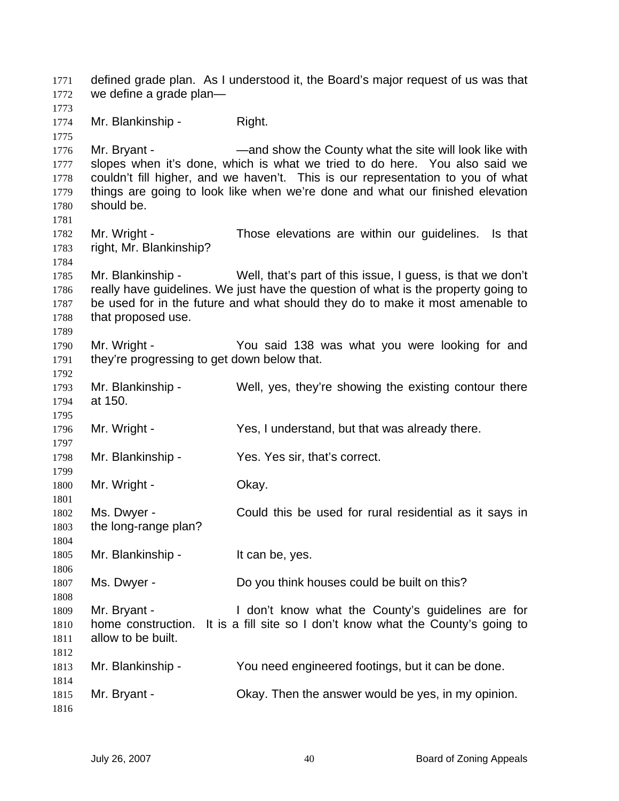defined grade plan. As I understood it, the Board's major request of us was that we define a grade plan— 1771 1772 1773 1774 1775 1776 1777 1778 1779 1780 1781 1782 1783 1784 1785 1786 1787 1788 1789 1790 1791 1792 1793 1794 1795 1796 1797 1798 1799 1800 1801 1802 1803 1804 1805 1806 1807 1808 1809 1810 1811 1812 1813 1814 1815 1816 Mr. Blankinship - Right. Mr. Bryant - The State County what the site will look like with slopes when it's done, which is what we tried to do here. You also said we couldn't fill higher, and we haven't. This is our representation to you of what things are going to look like when we're done and what our finished elevation should be. Mr. Wright - Those elevations are within our guidelines. Is that right, Mr. Blankinship? Mr. Blankinship - Well, that's part of this issue, I guess, is that we don't really have guidelines. We just have the question of what is the property going to be used for in the future and what should they do to make it most amenable to that proposed use. Mr. Wright - The You said 138 was what you were looking for and they're progressing to get down below that. Mr. Blankinship - Well, yes, they're showing the existing contour there at 150. Mr. Wright - Yes, I understand, but that was already there. Mr. Blankinship - Yes. Yes sir, that's correct. Mr. Wright - Chay. Ms. Dwyer - Could this be used for rural residential as it says in the long-range plan? Mr. Blankinship - It can be, yes. Ms. Dwyer - Do you think houses could be built on this? Mr. Bryant - The Mon't know what the County's quidelines are for home construction. It is a fill site so I don't know what the County's going to allow to be built. Mr. Blankinship - You need engineered footings, but it can be done. Mr. Bryant - Ckay. Then the answer would be yes, in my opinion.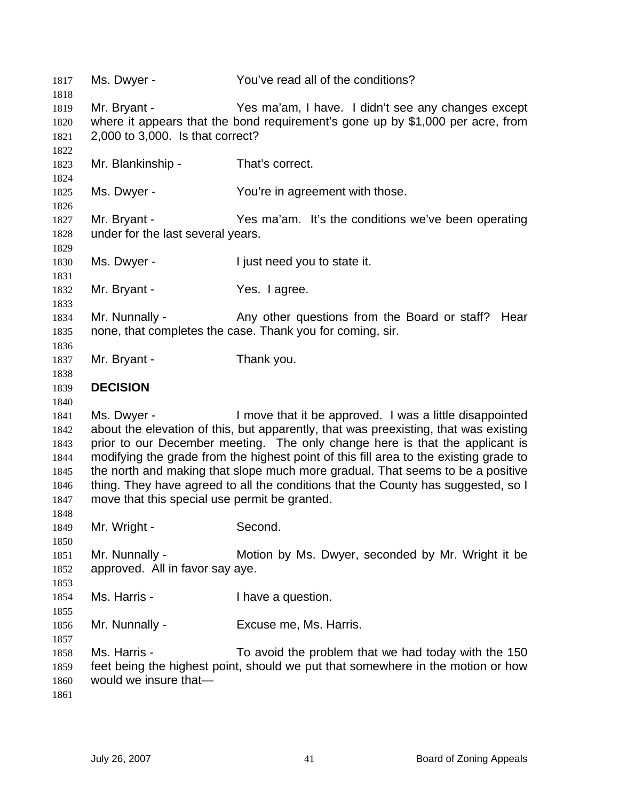| 1817<br>1818                                                 | Ms. Dwyer -                                                                                                                                                                                                                                                                                                                                                                                                                                                                                                                                                     | You've read all of the conditions?                                                                                                     |  |
|--------------------------------------------------------------|-----------------------------------------------------------------------------------------------------------------------------------------------------------------------------------------------------------------------------------------------------------------------------------------------------------------------------------------------------------------------------------------------------------------------------------------------------------------------------------------------------------------------------------------------------------------|----------------------------------------------------------------------------------------------------------------------------------------|--|
| 1819<br>1820<br>1821<br>1822                                 | Mr. Bryant -<br>Yes ma'am, I have. I didn't see any changes except<br>where it appears that the bond requirement's gone up by \$1,000 per acre, from<br>2,000 to 3,000. Is that correct?                                                                                                                                                                                                                                                                                                                                                                        |                                                                                                                                        |  |
| 1823<br>1824                                                 | Mr. Blankinship -                                                                                                                                                                                                                                                                                                                                                                                                                                                                                                                                               | That's correct.                                                                                                                        |  |
| 1825<br>1826                                                 | Ms. Dwyer -                                                                                                                                                                                                                                                                                                                                                                                                                                                                                                                                                     | You're in agreement with those.                                                                                                        |  |
| 1827<br>1828<br>1829                                         | Mr. Bryant -<br>under for the last several years.                                                                                                                                                                                                                                                                                                                                                                                                                                                                                                               | Yes ma'am. It's the conditions we've been operating                                                                                    |  |
| 1830<br>1831                                                 | Ms. Dwyer -                                                                                                                                                                                                                                                                                                                                                                                                                                                                                                                                                     | I just need you to state it.                                                                                                           |  |
| 1832<br>1833                                                 | Mr. Bryant -                                                                                                                                                                                                                                                                                                                                                                                                                                                                                                                                                    | Yes. I agree.                                                                                                                          |  |
| 1834<br>1835<br>1836                                         | Mr. Nunnally -<br>Any other questions from the Board or staff? Hear<br>none, that completes the case. Thank you for coming, sir.                                                                                                                                                                                                                                                                                                                                                                                                                                |                                                                                                                                        |  |
| 1837<br>1838                                                 | Mr. Bryant -                                                                                                                                                                                                                                                                                                                                                                                                                                                                                                                                                    | Thank you.                                                                                                                             |  |
| 1839<br>1840                                                 | <b>DECISION</b>                                                                                                                                                                                                                                                                                                                                                                                                                                                                                                                                                 |                                                                                                                                        |  |
| 1841<br>1842<br>1843<br>1844<br>1845<br>1846<br>1847<br>1848 | I move that it be approved. I was a little disappointed<br>Ms. Dwyer -<br>about the elevation of this, but apparently, that was preexisting, that was existing<br>prior to our December meeting. The only change here is that the applicant is<br>modifying the grade from the highest point of this fill area to the existing grade to<br>the north and making that slope much more gradual. That seems to be a positive<br>thing. They have agreed to all the conditions that the County has suggested, so I<br>move that this special use permit be granted. |                                                                                                                                        |  |
| 1849<br>1850                                                 | Mr. Wright -                                                                                                                                                                                                                                                                                                                                                                                                                                                                                                                                                    | Second.                                                                                                                                |  |
| 1851<br>1852<br>1853                                         | Mr. Nunnally -<br>Motion by Ms. Dwyer, seconded by Mr. Wright it be<br>approved. All in favor say aye.                                                                                                                                                                                                                                                                                                                                                                                                                                                          |                                                                                                                                        |  |
| 1854<br>1855                                                 | Ms. Harris -                                                                                                                                                                                                                                                                                                                                                                                                                                                                                                                                                    | I have a question.                                                                                                                     |  |
| 1856<br>1857                                                 | Mr. Nunnally -                                                                                                                                                                                                                                                                                                                                                                                                                                                                                                                                                  | Excuse me, Ms. Harris.                                                                                                                 |  |
| 1858<br>1859<br>1860<br>1861                                 | Ms. Harris -<br>would we insure that-                                                                                                                                                                                                                                                                                                                                                                                                                                                                                                                           | To avoid the problem that we had today with the 150<br>feet being the highest point, should we put that somewhere in the motion or how |  |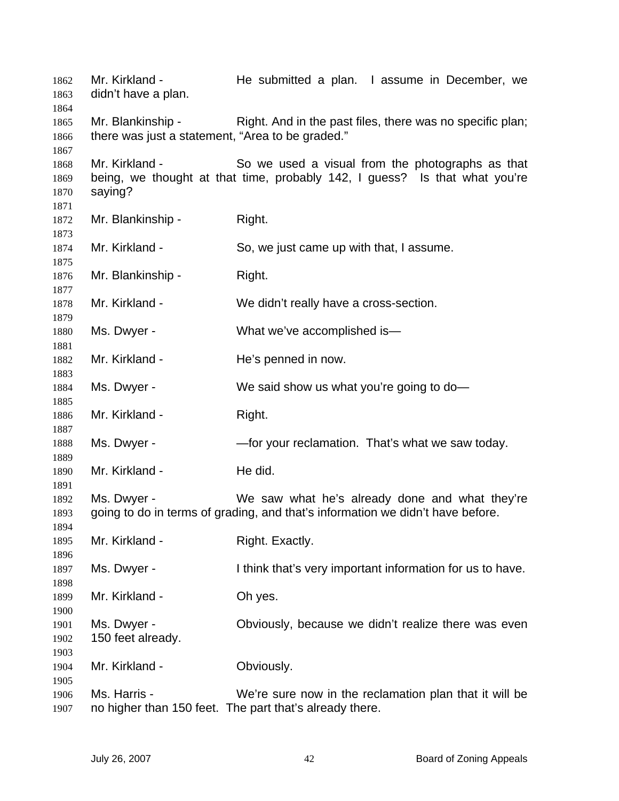Mr. Kirkland - The submitted a plan. I assume in December, we didn't have a plan. Mr. Blankinship - Right. And in the past files, there was no specific plan; there was just a statement, "Area to be graded." Mr. Kirkland - So we used a visual from the photographs as that being, we thought at that time, probably 142, I guess? Is that what you're saying? Mr. Blankinship - Right. Mr. Kirkland - So, we just came up with that, I assume. Mr. Blankinship - Right. Mr. Kirkland - We didn't really have a cross-section. Ms. Dwyer - What we've accomplished is— Mr. Kirkland - The's penned in now. Ms. Dwyer - We said show us what you're going to do-Mr. Kirkland - Right. Ms. Dwyer - — — — — for your reclamation. That's what we saw today. Mr. Kirkland - He did. Ms. Dwyer - We saw what he's already done and what they're going to do in terms of grading, and that's information we didn't have before. Mr. Kirkland - Right. Exactly. Ms. Dwyer - I think that's very important information for us to have. Mr. Kirkland - Oh yes. Ms. Dwyer - Obviously, because we didn't realize there was even 150 feet already. Mr. Kirkland - **Obviously.** Ms. Harris - We're sure now in the reclamation plan that it will be no higher than 150 feet. The part that's already there.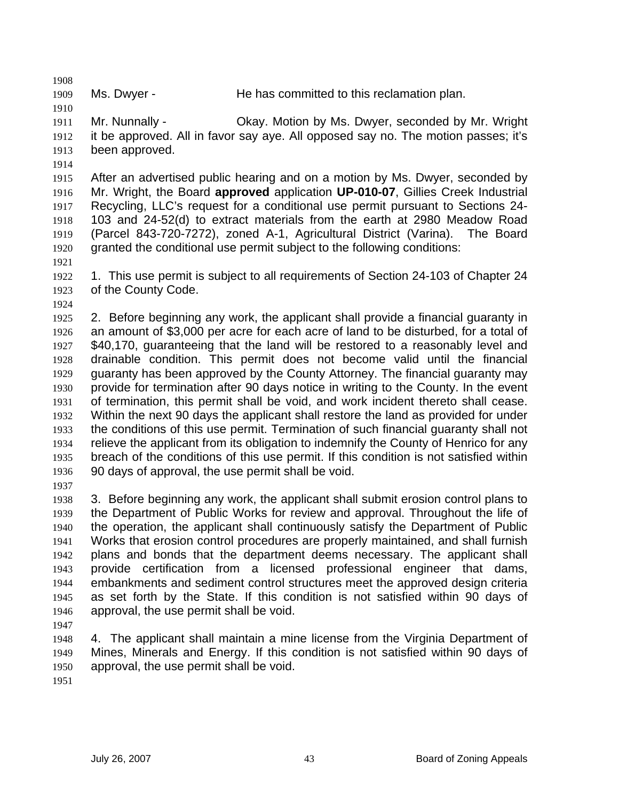1909

Ms. Dwyer - The has committed to this reclamation plan.

1911 1912 1913 Mr. Nunnally - Okay. Motion by Ms. Dwyer, seconded by Mr. Wright it be approved. All in favor say aye. All opposed say no. The motion passes; it's been approved.

1914

1908

1910

1915 1916 1917 1918 1919 1920 After an advertised public hearing and on a motion by Ms. Dwyer, seconded by Mr. Wright, the Board **approved** application **UP-010-07**, Gillies Creek Industrial Recycling, LLC's request for a conditional use permit pursuant to Sections 24- 103 and 24-52(d) to extract materials from the earth at 2980 Meadow Road (Parcel 843-720-7272), zoned A-1, Agricultural District (Varina). The Board granted the conditional use permit subject to the following conditions:

- 1922 1923 1. This use permit is subject to all requirements of Section 24-103 of Chapter 24 of the County Code.
- 1924

1921

1925 1926 1927 1928 1929 1930 1931 1932 1933 1934 1935 1936 2. Before beginning any work, the applicant shall provide a financial guaranty in an amount of \$3,000 per acre for each acre of land to be disturbed, for a total of \$40,170, guaranteeing that the land will be restored to a reasonably level and drainable condition. This permit does not become valid until the financial guaranty has been approved by the County Attorney. The financial guaranty may provide for termination after 90 days notice in writing to the County. In the event of termination, this permit shall be void, and work incident thereto shall cease. Within the next 90 days the applicant shall restore the land as provided for under the conditions of this use permit. Termination of such financial guaranty shall not relieve the applicant from its obligation to indemnify the County of Henrico for any breach of the conditions of this use permit. If this condition is not satisfied within 90 days of approval, the use permit shall be void.

1937

1938 1939 1940 1941 1942 1943 1944 1945 1946 3. Before beginning any work, the applicant shall submit erosion control plans to the Department of Public Works for review and approval. Throughout the life of the operation, the applicant shall continuously satisfy the Department of Public Works that erosion control procedures are properly maintained, and shall furnish plans and bonds that the department deems necessary. The applicant shall provide certification from a licensed professional engineer that dams, embankments and sediment control structures meet the approved design criteria as set forth by the State. If this condition is not satisfied within 90 days of approval, the use permit shall be void.

1947

1948 1949 1950 4. The applicant shall maintain a mine license from the Virginia Department of Mines, Minerals and Energy. If this condition is not satisfied within 90 days of approval, the use permit shall be void.

1951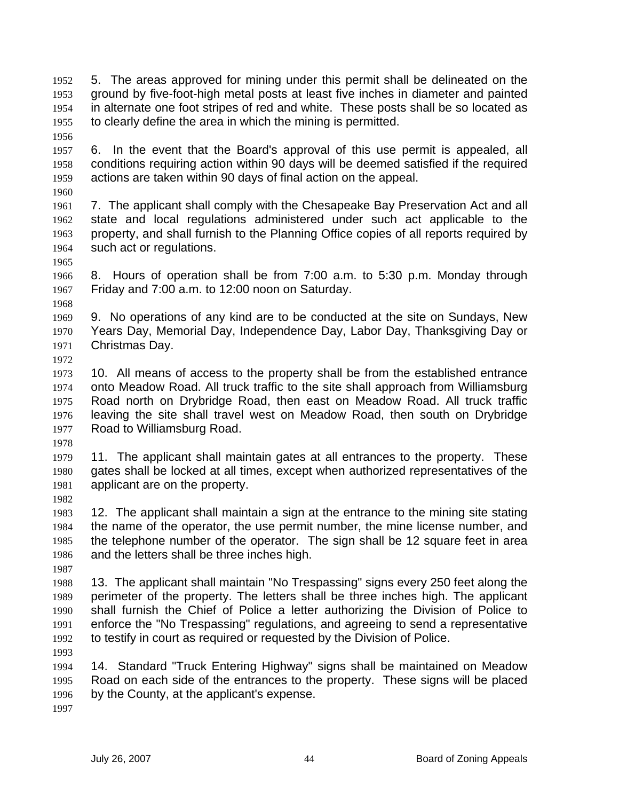5. The areas approved for mining under this permit shall be delineated on the ground by five-foot-high metal posts at least five inches in diameter and painted in alternate one foot stripes of red and white. These posts shall be so located as to clearly define the area in which the mining is permitted. 1952 1953 1954 1955

1956

1957 1958 1959 6. In the event that the Board's approval of this use permit is appealed, all conditions requiring action within 90 days will be deemed satisfied if the required actions are taken within 90 days of final action on the appeal.

1960

1961 1962 1963 1964 7. The applicant shall comply with the Chesapeake Bay Preservation Act and all state and local regulations administered under such act applicable to the property, and shall furnish to the Planning Office copies of all reports required by such act or regulations.

1966 1967 8. Hours of operation shall be from 7:00 a.m. to 5:30 p.m. Monday through Friday and 7:00 a.m. to 12:00 noon on Saturday.

1968

1965

1969 1970 1971 9. No operations of any kind are to be conducted at the site on Sundays, New Years Day, Memorial Day, Independence Day, Labor Day, Thanksgiving Day or Christmas Day.

1972

1973 1974 1975 1976 1977 10. All means of access to the property shall be from the established entrance onto Meadow Road. All truck traffic to the site shall approach from Williamsburg Road north on Drybridge Road, then east on Meadow Road. All truck traffic leaving the site shall travel west on Meadow Road, then south on Drybridge Road to Williamsburg Road.

1978

1979 1980 1981 11. The applicant shall maintain gates at all entrances to the property. These gates shall be locked at all times, except when authorized representatives of the applicant are on the property.

1982

1983 1984 1985 1986 12. The applicant shall maintain a sign at the entrance to the mining site stating the name of the operator, the use permit number, the mine license number, and the telephone number of the operator. The sign shall be 12 square feet in area and the letters shall be three inches high.

1987

1988 1989 1990 1991 1992 13. The applicant shall maintain "No Trespassing" signs every 250 feet along the perimeter of the property. The letters shall be three inches high. The applicant shall furnish the Chief of Police a letter authorizing the Division of Police to enforce the "No Trespassing" regulations, and agreeing to send a representative to testify in court as required or requested by the Division of Police.

1993

1994 1995 1996 14. Standard "Truck Entering Highway" signs shall be maintained on Meadow Road on each side of the entrances to the property. These signs will be placed by the County, at the applicant's expense.

1997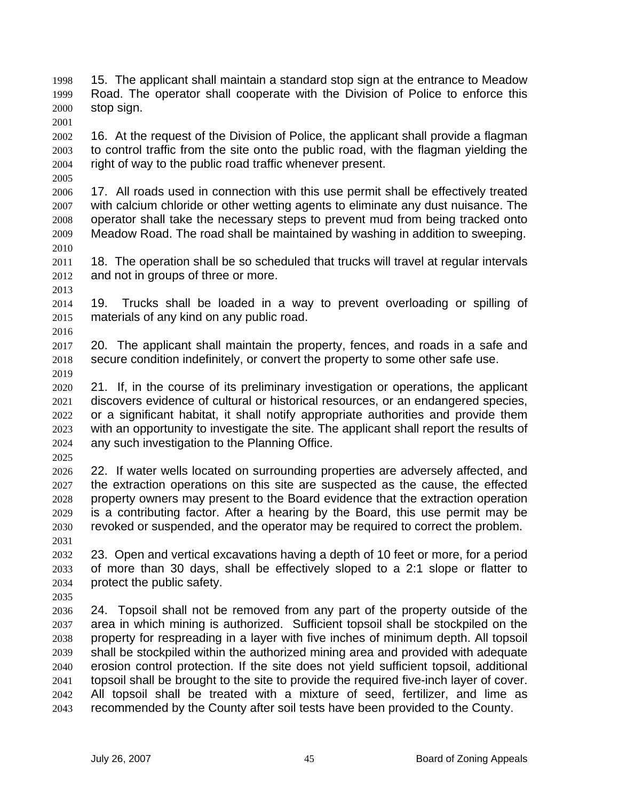15. The applicant shall maintain a standard stop sign at the entrance to Meadow Road. The operator shall cooperate with the Division of Police to enforce this stop sign. 1998 1999 2000

2002 2003 2004 16. At the request of the Division of Police, the applicant shall provide a flagman to control traffic from the site onto the public road, with the flagman yielding the right of way to the public road traffic whenever present.

2006 2007 2008 2009 2010 17. All roads used in connection with this use permit shall be effectively treated with calcium chloride or other wetting agents to eliminate any dust nuisance. The operator shall take the necessary steps to prevent mud from being tracked onto Meadow Road. The road shall be maintained by washing in addition to sweeping.

2011 2012 18. The operation shall be so scheduled that trucks will travel at regular intervals and not in groups of three or more.

2014 2015 19. Trucks shall be loaded in a way to prevent overloading or spilling of materials of any kind on any public road.

2017 2018 20. The applicant shall maintain the property, fences, and roads in a safe and secure condition indefinitely, or convert the property to some other safe use.

2019

2013

2016

2001

2005

2020 2021 2022 2023 2024 21. If, in the course of its preliminary investigation or operations, the applicant discovers evidence of cultural or historical resources, or an endangered species, or a significant habitat, it shall notify appropriate authorities and provide them with an opportunity to investigate the site. The applicant shall report the results of any such investigation to the Planning Office.

2025

2026 2027 2028 2029 2030 22. If water wells located on surrounding properties are adversely affected, and the extraction operations on this site are suspected as the cause, the effected property owners may present to the Board evidence that the extraction operation is a contributing factor. After a hearing by the Board, this use permit may be revoked or suspended, and the operator may be required to correct the problem.

2031

2032 2033 2034 2035 23. Open and vertical excavations having a depth of 10 feet or more, for a period of more than 30 days, shall be effectively sloped to a 2:1 slope or flatter to protect the public safety.

2036 2037 2038 2039 2040 2041 2042 2043 24. Topsoil shall not be removed from any part of the property outside of the area in which mining is authorized. Sufficient topsoil shall be stockpiled on the property for respreading in a layer with five inches of minimum depth. All topsoil shall be stockpiled within the authorized mining area and provided with adequate erosion control protection. If the site does not yield sufficient topsoil, additional topsoil shall be brought to the site to provide the required five-inch layer of cover. All topsoil shall be treated with a mixture of seed, fertilizer, and lime as recommended by the County after soil tests have been provided to the County.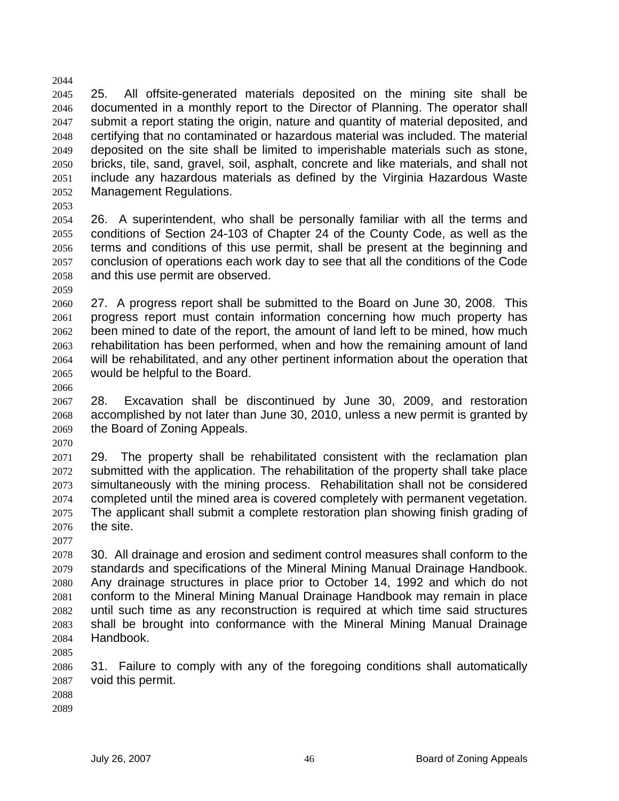2045 2046 2047 2048 2049 2050 2051 2052 25. All offsite-generated materials deposited on the mining site shall be documented in a monthly report to the Director of Planning. The operator shall submit a report stating the origin, nature and quantity of material deposited, and certifying that no contaminated or hazardous material was included. The material deposited on the site shall be limited to imperishable materials such as stone, bricks, tile, sand, gravel, soil, asphalt, concrete and like materials, and shall not include any hazardous materials as defined by the Virginia Hazardous Waste Management Regulations.

2053

2044

2054 2055 2056 2057 2058 26. A superintendent, who shall be personally familiar with all the terms and conditions of Section 24-103 of Chapter 24 of the County Code, as well as the terms and conditions of this use permit, shall be present at the beginning and conclusion of operations each work day to see that all the conditions of the Code and this use permit are observed.

2059

2060 2061 2062 2063 2064 2065 27. A progress report shall be submitted to the Board on June 30, 2008. This progress report must contain information concerning how much property has been mined to date of the report, the amount of land left to be mined, how much rehabilitation has been performed, when and how the remaining amount of land will be rehabilitated, and any other pertinent information about the operation that would be helpful to the Board.

2066

2067 2068 2069 2070 28. Excavation shall be discontinued by June 30, 2009, and restoration accomplished by not later than June 30, 2010, unless a new permit is granted by the Board of Zoning Appeals.

2071 2072 2073 2074 2075 2076 29. The property shall be rehabilitated consistent with the reclamation plan submitted with the application. The rehabilitation of the property shall take place simultaneously with the mining process. Rehabilitation shall not be considered completed until the mined area is covered completely with permanent vegetation. The applicant shall submit a complete restoration plan showing finish grading of the site.

2078 2079 2080 2081 2082 2083 2084 30. All drainage and erosion and sediment control measures shall conform to the standards and specifications of the Mineral Mining Manual Drainage Handbook. Any drainage structures in place prior to October 14, 1992 and which do not conform to the Mineral Mining Manual Drainage Handbook may remain in place until such time as any reconstruction is required at which time said structures shall be brought into conformance with the Mineral Mining Manual Drainage Handbook.

2085

2077

2086 2087 31. Failure to comply with any of the foregoing conditions shall automatically void this permit.

2088

2089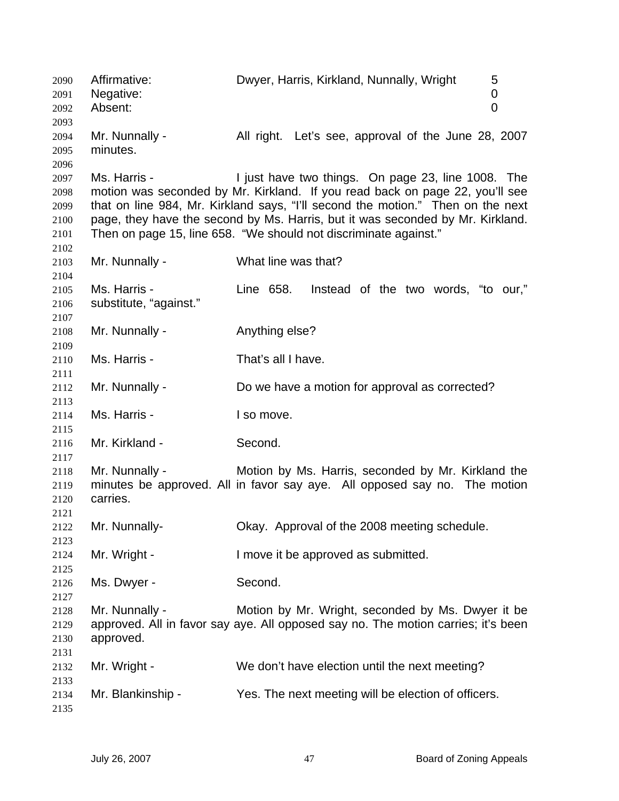Affirmative: Dwyer, Harris, Kirkland, Nunnally, Wright 5 Negative: 0 Absent: 0 Mr. Nunnally - All right. Let's see, approval of the June 28, 2007 minutes. Ms. Harris - The Must have two things. On page 23, line 1008. The motion was seconded by Mr. Kirkland. If you read back on page 22, you'll see that on line 984, Mr. Kirkland says, "I'll second the motion." Then on the next page, they have the second by Ms. Harris, but it was seconded by Mr. Kirkland. Then on page 15, line 658. "We should not discriminate against." Mr. Nunnally - What line was that? Ms. Harris - The G58. Instead of the two words, "to our," substitute, "against." Mr. Nunnally - Anything else? Ms. Harris - That's all I have. Mr. Nunnally - Do we have a motion for approval as corrected? Ms. Harris - The I so move. Mr. Kirkland - Second. Mr. Nunnally - Motion by Ms. Harris, seconded by Mr. Kirkland the minutes be approved. All in favor say aye. All opposed say no. The motion carries. Mr. Nunnally- Okay. Approval of the 2008 meeting schedule. Mr. Wright - The Muslim ove it be approved as submitted. Ms. Dwyer - Second. Mr. Nunnally - Motion by Mr. Wright, seconded by Ms. Dwyer it be approved. All in favor say aye. All opposed say no. The motion carries; it's been approved. Mr. Wright - We don't have election until the next meeting? Mr. Blankinship - Yes. The next meeting will be election of officers.